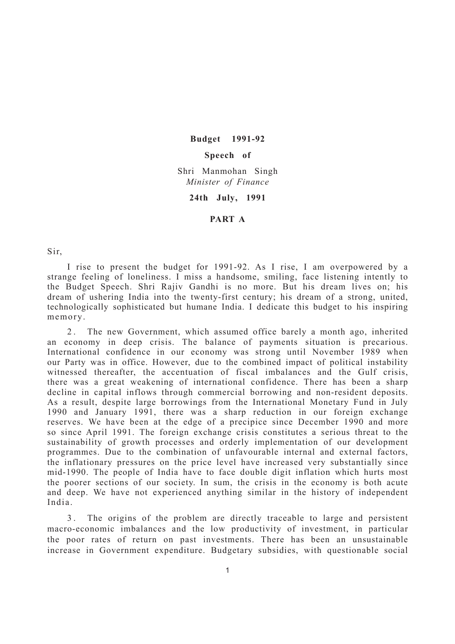**Budget 1991-92**

## **Speech of**

Shri Manmohan Singh *Minister of Finance*

**24th July, 1991**

## **PART A**

Sir,

I rise to present the budget for 1991-92. As I rise, I am overpowered by a strange feeling of loneliness. I miss a handsome, smiling, face listening intently to the Budget Speech. Shri Rajiv Gandhi is no more. But his dream lives on; his dream of ushering India into the twenty-first century; his dream of a strong, united, technologically sophisticated but humane India. I dedicate this budget to his inspiring memory.

2. The new Government, which assumed office barely a month ago, inherited an economy in deep crisis. The balance of payments situation is precarious. International confidence in our economy was strong until November 1989 when our Party was in office. However, due to the combined impact of political instability witnessed thereafter, the accentuation of fiscal imbalances and the Gulf crisis, there was a great weakening of international confidence. There has been a sharp decline in capital inflows through commercial borrowing and non-resident deposits. As a result, despite large borrowings from the International Monetary Fund in July 1990 and January 1991, there was a sharp reduction in our foreign exchange reserves. We have been at the edge of a precipice since December 1990 and more so since April 1991. The foreign exchange crisis constitutes a serious threat to the sustainability of growth processes and orderly implementation of our development programmes. Due to the combination of unfavourable internal and external factors, the inflationary pressures on the price level have increased very substantially since mid-1990. The people of India have to face double digit inflation which hurts most the poorer sections of our society. In sum, the crisis in the economy is both acute and deep. We have not experienced anything similar in the history of independent India.

3 . The origins of the problem are directly traceable to large and persistent macro-economic imbalances and the low productivity of investment, in particular the poor rates of return on past investments. There has been an unsustainable increase in Government expenditure. Budgetary subsidies, with questionable social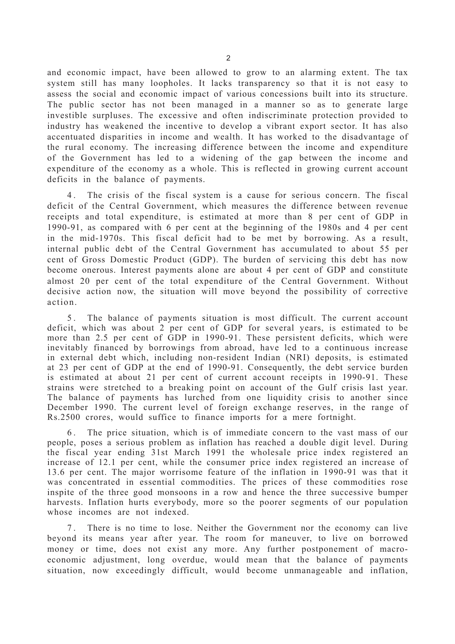and economic impact, have been allowed to grow to an alarming extent. The tax system still has many loopholes. It lacks transparency so that it is not easy to assess the social and economic impact of various concessions built into its structure. The public sector has not been managed in a manner so as to generate large investible surpluses. The excessive and often indiscriminate protection provided to industry has weakened the incentive to develop a vibrant export sector. It has also accentuated disparities in income and wealth. It has worked to the disadvantage of the rural economy. The increasing difference between the income and expenditure of the Government has led to a widening of the gap between the income and expenditure of the economy as a whole. This is reflected in growing current account deficits in the balance of payments.

4 . The crisis of the fiscal system is a cause for serious concern. The fiscal deficit of the Central Government, which measures the difference between revenue receipts and total expenditure, is estimated at more than 8 per cent of GDP in 1990-91, as compared with 6 per cent at the beginning of the 1980s and 4 per cent in the mid-1970s. This fiscal deficit had to be met by borrowing. As a result, internal public debt of the Central Government has accumulated to about 55 per cent of Gross Domestic Product (GDP). The burden of servicing this debt has now become onerous. Interest payments alone are about 4 per cent of GDP and constitute almost 20 per cent of the total expenditure of the Central Government. Without decisive action now, the situation will move beyond the possibility of corrective action.

5 . The balance of payments situation is most difficult. The current account deficit, which was about 2 per cent of GDP for several years, is estimated to be more than 2.5 per cent of GDP in 1990-91. These persistent deficits, which were inevitably financed by borrowings from abroad, have led to a continuous increase in external debt which, including non-resident Indian (NRI) deposits, is estimated at 23 per cent of GDP at the end of 1990-91. Consequently, the debt service burden is estimated at about 21 per cent of current account receipts in 1990-91. These strains were stretched to a breaking point on account of the Gulf crisis last year. The balance of payments has lurched from one liquidity crisis to another since December 1990. The current level of foreign exchange reserves, in the range of Rs.2500 crores, would suffice to finance imports for a mere fortnight.

6 . The price situation, which is of immediate concern to the vast mass of our people, poses a serious problem as inflation has reached a double digit level. During the fiscal year ending 31st March 1991 the wholesale price index registered an increase of 12.1 per cent, while the consumer price index registered an increase of 13.6 per cent. The major worrisome feature of the inflation in 1990-91 was that it was concentrated in essential commodities. The prices of these commodities rose inspite of the three good monsoons in a row and hence the three successive bumper harvests. Inflation hurts everybody, more so the poorer segments of our population whose incomes are not indexed.

7 . There is no time to lose. Neither the Government nor the economy can live beyond its means year after year. The room for maneuver, to live on borrowed money or time, does not exist any more. Any further postponement of macroeconomic adjustment, long overdue, would mean that the balance of payments situation, now exceedingly difficult, would become unmanageable and inflation,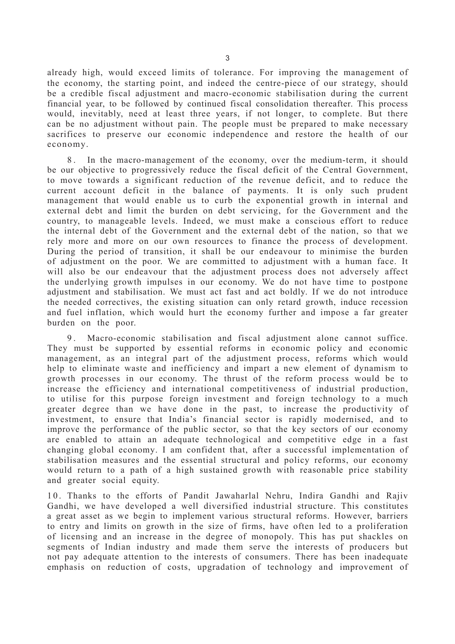already high, would exceed limits of tolerance. For improving the management of the economy, the starting point, and indeed the centre-piece of our strategy, should be a credible fiscal adjustment and macro-economic stabilisation during the current financial year, to be followed by continued fiscal consolidation thereafter. This process would, inevitably, need at least three years, if not longer, to complete. But there can be no adjustment without pain. The people must be prepared to make necessary sacrifices to preserve our economic independence and restore the health of our economy.

8 . In the macro-management of the economy, over the medium-term, it should be our objective to progressively reduce the fiscal deficit of the Central Government, to move towards a significant reduction of the revenue deficit, and to reduce the current account deficit in the balance of payments. It is only such prudent management that would enable us to curb the exponential growth in internal and external debt and limit the burden on debt servicing, for the Government and the country, to manageable levels. Indeed, we must make a conscious effort to reduce the internal debt of the Government and the external debt of the nation, so that we rely more and more on our own resources to finance the process of development. During the period of transition, it shall be our endeavour to minimise the burden of adjustment on the poor. We are committed to adjustment with a human face. It will also be our endeavour that the adjustment process does not adversely affect the underlying growth impulses in our economy. We do not have time to postpone adjustment and stabilisation. We must act fast and act boldly. If we do not introduce the needed correctives, the existing situation can only retard growth, induce recession and fuel inflation, which would hurt the economy further and impose a far greater burden on the poor.

9 . Macro-economic stabilisation and fiscal adjustment alone cannot suffice. They must be supported by essential reforms in economic policy and economic management, as an integral part of the adjustment process, reforms which would help to eliminate waste and inefficiency and impart a new element of dynamism to growth processes in our economy. The thrust of the reform process would be to increase the efficiency and international competitiveness of industrial production, to utilise for this purpose foreign investment and foreign technology to a much greater degree than we have done in the past, to increase the productivity of investment, to ensure that India's financial sector is rapidly modernised, and to improve the performance of the public sector, so that the key sectors of our economy are enabled to attain an adequate technological and competitive edge in a fast changing global economy. I am confident that, after a successful implementation of stabilisation measures and the essential structural and policy reforms, our economy would return to a path of a high sustained growth with reasonable price stability and greater social equity.

10. Thanks to the efforts of Pandit Jawaharlal Nehru, Indira Gandhi and Rajiv Gandhi, we have developed a well diversified industrial structure. This constitutes a great asset as we begin to implement various structural reforms. However, barriers to entry and limits on growth in the size of firms, have often led to a proliferation of licensing and an increase in the degree of monopoly. This has put shackles on segments of Indian industry and made them serve the interests of producers but not pay adequate attention to the interests of consumers. There has been inadequate emphasis on reduction of costs, upgradation of technology and improvement of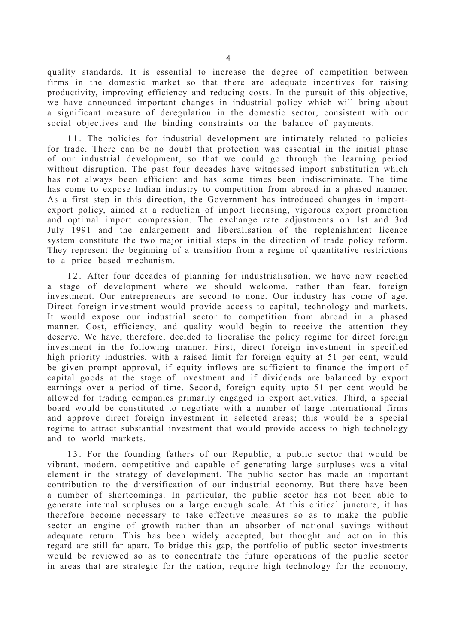quality standards. It is essential to increase the degree of competition between firms in the domestic market so that there are adequate incentives for raising productivity, improving efficiency and reducing costs. In the pursuit of this objective, we have announced important changes in industrial policy which will bring about a significant measure of deregulation in the domestic sector, consistent with our social objectives and the binding constraints on the balance of payments.

11. The policies for industrial development are intimately related to policies for trade. There can be no doubt that protection was essential in the initial phase of our industrial development, so that we could go through the learning period without disruption. The past four decades have witnessed import substitution which has not always been efficient and has some times been indiscriminate. The time has come to expose Indian industry to competition from abroad in a phased manner. As a first step in this direction, the Government has introduced changes in importexport policy, aimed at a reduction of import licensing, vigorous export promotion and optimal import compression. The exchange rate adjustments on 1st and 3rd July 1991 and the enlargement and liberalisation of the replenishment licence system constitute the two major initial steps in the direction of trade policy reform. They represent the beginning of a transition from a regime of quantitative restrictions to a price based mechanism.

12. After four decades of planning for industrialisation, we have now reached a stage of development where we should welcome, rather than fear, foreign investment. Our entrepreneurs are second to none. Our industry has come of age. Direct foreign investment would provide access to capital, technology and markets. It would expose our industrial sector to competition from abroad in a phased manner. Cost, efficiency, and quality would begin to receive the attention they deserve. We have, therefore, decided to liberalise the policy regime for direct foreign investment in the following manner. First, direct foreign investment in specified high priority industries, with a raised limit for foreign equity at 51 per cent, would be given prompt approval, if equity inflows are sufficient to finance the import of capital goods at the stage of investment and if dividends are balanced by export earnings over a period of time. Second, foreign equity upto 51 per cent would be allowed for trading companies primarily engaged in export activities. Third, a special board would be constituted to negotiate with a number of large international firms and approve direct foreign investment in selected areas; this would be a special regime to attract substantial investment that would provide access to high technology and to world markets.

13. For the founding fathers of our Republic, a public sector that would be vibrant, modern, competitive and capable of generating large surpluses was a vital element in the strategy of development. The public sector has made an important contribution to the diversification of our industrial economy. But there have been a number of shortcomings. In particular, the public sector has not been able to generate internal surpluses on a large enough scale. At this critical juncture, it has therefore become necessary to take effective measures so as to make the public sector an engine of growth rather than an absorber of national savings without adequate return. This has been widely accepted, but thought and action in this regard are still far apart. To bridge this gap, the portfolio of public sector investments would be reviewed so as to concentrate the future operations of the public sector in areas that are strategic for the nation, require high technology for the economy,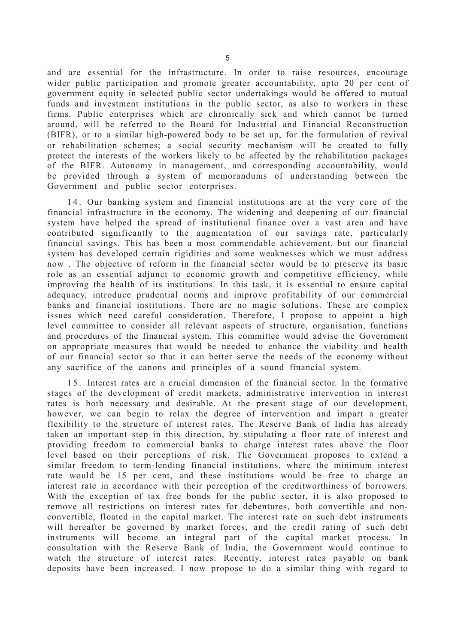and are essential for the infrastructure. In order to raise resources, encourage wider public participation and promote greater accountability, upto 20 per cent of government equity in selected public sector undertakings would be offered to mutual funds and investment institutions in the public sector, as also to workers in these firms. Public enterprises which are chronically sick and which cannot be turned around, will be referred to the Board for Industrial and Financial Reconstruction (BIFR), or to a similar high-powered body to be set up, for the formulation of revival or rehabilitation schemes; a social security mechanism will be created to fully protect the interests of the workers likely to be affected by the rehabilitation packages of the BIFR. Autonomy in management, and corresponding accountability, would be provided through a system of memorandums of understanding between the Government and public sector enterprises.

14. Our banking system and financial institutions are at the very core of the financial infrastructure in the economy. The widening and deepening of our financial system have helped the spread of institutional finance over a vast area and have contributed significantly to the augmentation of our savings rate, particularly financial savings. This has been a most commendable achievement, but our financial system has developed certain rigidities and some weaknesses which we must address now . The objective of reform in the financial sector would be to preserve its basic role as an essential adjunct to economic growth and competitive efficiency, while improving the health of its institutions. In this task, it is essential to ensure capital adequacy, introduce prudential norms and improve profitability of our commercial banks and financial institutions. There are no magic solutions. These are complex issues which need careful consideration. Therefore, I propose to appoint a high level committee to consider all relevant aspects of structure, organisation, functions and procedures of the financial system. This committee would advise the Government on appropriate measures that would be needed to enhance the viability and health of our financial sector so that it can better serve the needs of the economy without any sacrifice of the canons and principles of a sound financial system.

1 5 . Interest rates are a crucial dimension of the financial sector. In the formative stages of the development of credit markets, administrative intervention in interest rates is both necessary and desirable. At the present stage of our development, however, we can begin to relax the degree of intervention and impart a greater flexibility to the structure of interest rates. The Reserve Bank of India has already taken an important step in this direction, by stipulating a floor rate of interest and providing freedom to commercial banks to charge interest rates above the floor level based on their perceptions of risk. The Government proposes to extend a similar freedom to term-lending financial institutions, where the minimum interest rate would be 15 per cent, and these institutions would be free to charge an interest rate in accordance with their perception of the creditworthiness of borrowers. With the exception of tax free bonds for the public sector, it is also proposed to remove all restrictions on interest rates for debentures, both convertible and nonconvertible, floated in the capital market. The interest rate on such debt instruments will hereafter be governed by market forces, and the credit rating of such debt instruments will become an integral part of the capital market process. In consultation with the Reserve Bank of India, the Government would continue to watch the structure of interest rates. Recently, interest rates payable on bank deposits have been increased. I now propose to do a similar thing with regard to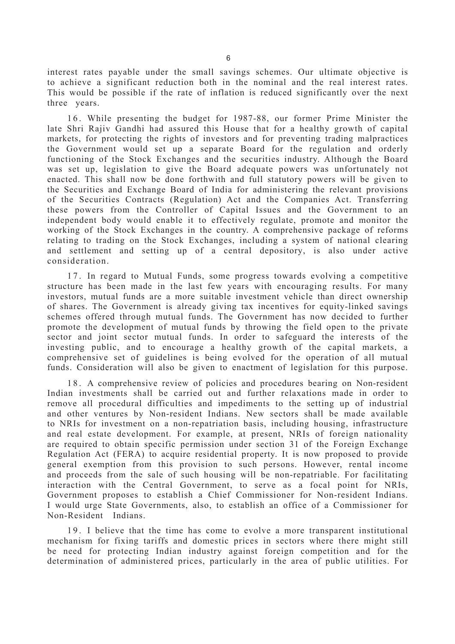interest rates payable under the small savings schemes. Our ultimate objective is to achieve a significant reduction both in the nominal and the real interest rates. This would be possible if the rate of inflation is reduced significantly over the next three years.

16. While presenting the budget for 1987-88, our former Prime Minister the late Shri Rajiv Gandhi had assured this House that for a healthy growth of capital markets, for protecting the rights of investors and for preventing trading malpractices the Government would set up a separate Board for the regulation and orderly functioning of the Stock Exchanges and the securities industry. Although the Board was set up, legislation to give the Board adequate powers was unfortunately not enacted. This shall now be done forthwith and full statutory powers will be given to the Securities and Exchange Board of India for administering the relevant provisions of the Securities Contracts (Regulation) Act and the Companies Act. Transferring these powers from the Controller of Capital Issues and the Government to an independent body would enable it to effectively regulate, promote and monitor the working of the Stock Exchanges in the country. A comprehensive package of reforms relating to trading on the Stock Exchanges, including a system of national clearing and settlement and setting up of a central depository, is also under active consideration.

17. In regard to Mutual Funds, some progress towards evolving a competitive structure has been made in the last few years with encouraging results. For many investors, mutual funds are a more suitable investment vehicle than direct ownership of shares. The Government is already giving tax incentives for equity-linked savings schemes offered through mutual funds. The Government has now decided to further promote the development of mutual funds by throwing the field open to the private sector and joint sector mutual funds. In order to safeguard the interests of the investing public, and to encourage a healthy growth of the capital markets, a comprehensive set of guidelines is being evolved for the operation of all mutual funds. Consideration will also be given to enactment of legislation for this purpose.

18. A comprehensive review of policies and procedures bearing on Non-resident Indian investments shall be carried out and further relaxations made in order to remove all procedural difficulties and impediments to the setting up of industrial and other ventures by Non-resident Indians. New sectors shall be made available to NRIs for investment on a non-repatriation basis, including housing, infrastructure and real estate development. For example, at present, NRIs of foreign nationality are required to obtain specific permission under section 31 of the Foreign Exchange Regulation Act (FERA) to acquire residential property. It is now proposed to provide general exemption from this provision to such persons. However, rental income and proceeds from the sale of such housing will be non-repatriable. For facilitating interaction with the Central Government, to serve as a focal point for NRIs, Government proposes to establish a Chief Commissioner for Non-resident Indians. I would urge State Governments, also, to establish an office of a Commissioner for Non-Resident Indians.

19. I believe that the time has come to evolve a more transparent institutional mechanism for fixing tariffs and domestic prices in sectors where there might still be need for protecting Indian industry against foreign competition and for the determination of administered prices, particularly in the area of public utilities. For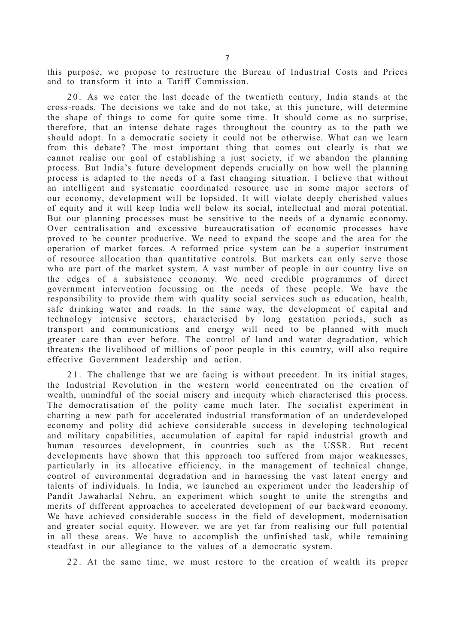this purpose, we propose to restructure the Bureau of Industrial Costs and Prices and to transform it into a Tariff Commission.

20. As we enter the last decade of the twentieth century, India stands at the cross-roads. The decisions we take and do not take, at this juncture, will determine the shape of things to come for quite some time. It should come as no surprise, therefore, that an intense debate rages throughout the country as to the path we should adopt. In a democratic society it could not be otherwise. What can we learn from this debate? The most important thing that comes out clearly is that we cannot realise our goal of establishing a just society, if we abandon the planning process. But India's future development depends crucially on how well the planning process is adapted to the needs of a fast changing situation. I believe that without an intelligent and systematic coordinated resource use in some major sectors of our economy, development will be lopsided. It will violate deeply cherished values of equity and it will keep India well below its social, intellectual and moral potential. But our planning processes must be sensitive to the needs of a dynamic economy. Over centralisation and excessive bureaucratisation of economic processes have proved to be counter productive. We need to expand the scope and the area for the operation of market forces. A reformed price system can be a superior instrument of resource allocation than quantitative controls. But markets can only serve those who are part of the market system. A vast number of people in our country live on the edges of a subsistence economy. We need credible programmes of direct government intervention focussing on the needs of these people. We have the responsibility to provide them with quality social services such as education, health, safe drinking water and roads. In the same way, the development of capital and technology intensive sectors, characterised by long gestation periods, such as transport and communications and energy will need to be planned with much greater care than ever before. The control of land and water degradation, which threatens the livelihood of millions of poor people in this country, will also require effective Government leadership and action.

21. The challenge that we are facing is without precedent. In its initial stages, the Industrial Revolution in the western world concentrated on the creation of wealth, unmindful of the social misery and inequity which characterised this process. The democratisation of the polity came much later. The socialist experiment in charting a new path for accelerated industrial transformation of an underdeveloped economy and polity did achieve considerable success in developing technological and military capabilities, accumulation of capital for rapid industrial growth and human resources development, in countries such as the USSR. But recent developments have shown that this approach too suffered from major weaknesses, particularly in its allocative efficiency, in the management of technical change, control of environmental degradation and in harnessing the vast latent energy and talents of individuals. In India, we launched an experiment under the leadership of Pandit Jawaharlal Nehru, an experiment which sought to unite the strengths and merits of different approaches to accelerated development of our backward economy. We have achieved considerable success in the field of development, modernisation and greater social equity. However, we are yet far from realising our full potential in all these areas. We have to accomplish the unfinished task, while remaining steadfast in our allegiance to the values of a democratic system.

22. At the same time, we must restore to the creation of wealth its proper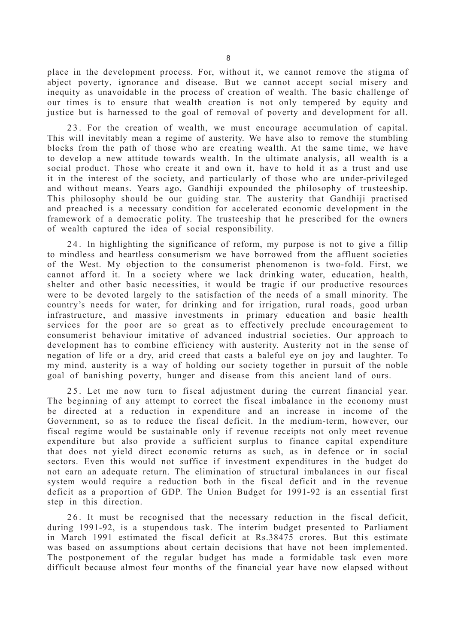place in the development process. For, without it, we cannot remove the stigma of abject poverty, ignorance and disease. But we cannot accept social misery and inequity as unavoidable in the process of creation of wealth. The basic challenge of our times is to ensure that wealth creation is not only tempered by equity and justice but is harnessed to the goal of removal of poverty and development for all.

23. For the creation of wealth, we must encourage accumulation of capital. This will inevitably mean a regime of austerity. We have also to remove the stumbling blocks from the path of those who are creating wealth. At the same time, we have to develop a new attitude towards wealth. In the ultimate analysis, all wealth is a social product. Those who create it and own it, have to hold it as a trust and use it in the interest of the society, and particularly of those who are under-privileged and without means. Years ago, Gandhiji expounded the philosophy of trusteeship. This philosophy should be our guiding star. The austerity that Gandhiji practised and preached is a necessary condition for accelerated economic development in the framework of a democratic polity. The trusteeship that he prescribed for the owners of wealth captured the idea of social responsibility.

24. In highlighting the significance of reform, my purpose is not to give a fillip to mindless and heartless consumerism we have borrowed from the affluent societies of the West. My objection to the consumerist phenomenon is two-fold. First, we cannot afford it. In a society where we lack drinking water, education, health, shelter and other basic necessities, it would be tragic if our productive resources were to be devoted largely to the satisfaction of the needs of a small minority. The country's needs for water, for drinking and for irrigation, rural roads, good urban infrastructure, and massive investments in primary education and basic health services for the poor are so great as to effectively preclude encouragement to consumerist behaviour imitative of advanced industrial societies. Our approach to development has to combine efficiency with austerity. Austerity not in the sense of negation of life or a dry, arid creed that casts a baleful eye on joy and laughter. To my mind, austerity is a way of holding our society together in pursuit of the noble goal of banishing poverty, hunger and disease from this ancient land of ours.

25. Let me now turn to fiscal adjustment during the current financial year. The beginning of any attempt to correct the fiscal imbalance in the economy must be directed at a reduction in expenditure and an increase in income of the Government, so as to reduce the fiscal deficit. In the medium-term, however, our fiscal regime would be sustainable only if revenue receipts not only meet revenue expenditure but also provide a sufficient surplus to finance capital expenditure that does not yield direct economic returns as such, as in defence or in social sectors. Even this would not suffice if investment expenditures in the budget do not earn an adequate return. The elimination of structural imbalances in our fiscal system would require a reduction both in the fiscal deficit and in the revenue deficit as a proportion of GDP. The Union Budget for 1991-92 is an essential first step in this direction.

26. It must be recognised that the necessary reduction in the fiscal deficit, during 1991-92, is a stupendous task. The interim budget presented to Parliament in March 1991 estimated the fiscal deficit at Rs.38475 crores. But this estimate was based on assumptions about certain decisions that have not been implemented. The postponement of the regular budget has made a formidable task even more difficult because almost four months of the financial year have now elapsed without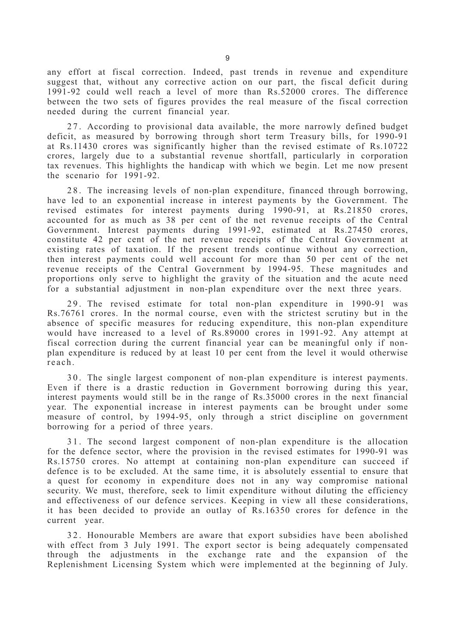any effort at fiscal correction. Indeed, past trends in revenue and expenditure suggest that, without any corrective action on our part, the fiscal deficit during 1991-92 could well reach a level of more than Rs.52000 crores. The difference between the two sets of figures provides the real measure of the fiscal correction needed during the current financial year.

27. According to provisional data available, the more narrowly defined budget deficit, as measured by borrowing through short term Treasury bills, for 1990-91 at Rs.11430 crores was significantly higher than the revised estimate of Rs.10722 crores, largely due to a substantial revenue shortfall, particularly in corporation tax revenues. This highlights the handicap with which we begin. Let me now present the scenario for 1991-92.

28. The increasing levels of non-plan expenditure, financed through borrowing, have led to an exponential increase in interest payments by the Government. The revised estimates for interest payments during 1990-91, at Rs.21850 crores, accounted for as much as 38 per cent of the net revenue receipts of the Central Government. Interest payments during 1991-92, estimated at Rs.27450 crores, constitute 42 per cent of the net revenue receipts of the Central Government at existing rates of taxation. If the present trends continue without any correction, then interest payments could well account for more than 50 per cent of the net revenue receipts of the Central Government by 1994-95. These magnitudes and proportions only serve to highlight the gravity of the situation and the acute need for a substantial adjustment in non-plan expenditure over the next three years.

29. The revised estimate for total non-plan expenditure in 1990-91 was Rs.76761 crores. In the normal course, even with the strictest scrutiny but in the absence of specific measures for reducing expenditure, this non-plan expenditure would have increased to a level of Rs.89000 crores in 1991-92. Any attempt at fiscal correction during the current financial year can be meaningful only if nonplan expenditure is reduced by at least 10 per cent from the level it would otherwise reach.

30. The single largest component of non-plan expenditure is interest payments. Even if there is a drastic reduction in Government borrowing during this year, interest payments would still be in the range of Rs.35000 crores in the next financial year. The exponential increase in interest payments can be brought under some measure of control, by 1994-95, only through a strict discipline on government borrowing for a period of three years.

31. The second largest component of non-plan expenditure is the allocation for the defence sector, where the provision in the revised estimates for 1990-91 was Rs.15750 crores. No attempt at containing non-plan expenditure can succeed if defence is to be excluded. At the same time, it is absolutely essential to ensure that a quest for economy in expenditure does not in any way compromise national security. We must, therefore, seek to limit expenditure without diluting the efficiency and effectiveness of our defence services. Keeping in view all these considerations, it has been decided to provide an outlay of Rs.16350 crores for defence in the current year.

32. Honourable Members are aware that export subsidies have been abolished with effect from 3 July 1991. The export sector is being adequately compensated through the adjustments in the exchange rate and the expansion of the Replenishment Licensing System which were implemented at the beginning of July.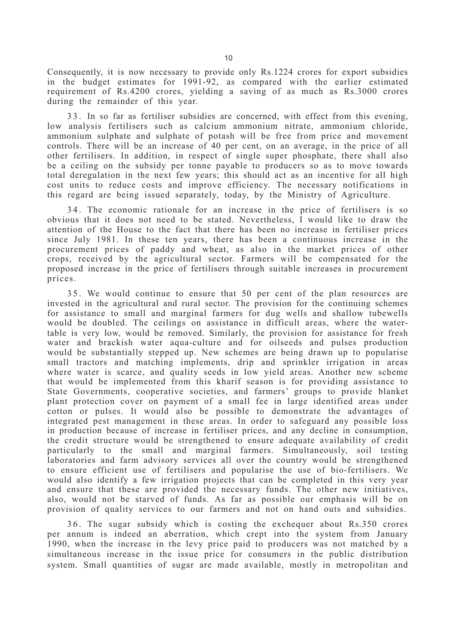Consequently, it is now necessary to provide only Rs.1224 crores for export subsidies in the budget estimates for 1991-92, as compared with the earlier estimated requirement of Rs.4200 crores, yielding a saving of as much as Rs.3000 crores during the remainder of this year.

33. In so far as fertiliser subsidies are concerned, with effect from this evening, low analysis fertilisers such as calcium ammonium nitrate, ammonium chloride, ammonium sulphate and sulphate of potash will be free from price and movement controls. There will be an increase of 40 per cent, on an average, in the price of all other fertilisers. In addition, in respect of single super phosphate, there shall also be a ceiling on the subsidy per tonne payable to producers so as to move towards total deregulation in the next few years; this should act as an incentive for all high cost units to reduce costs and improve efficiency. The necessary notifications in this regard are being issued separately, today, by the Ministry of Agriculture.

34. The economic rationale for an increase in the price of fertilisers is so obvious that it does not need to be stated. Nevertheless, I would like to draw the attention of the House to the fact that there has been no increase in fertiliser prices since July 1981. In these ten years, there has been a continuous increase in the procurement prices of paddy and wheat, as also in the market prices of other crops, received by the agricultural sector. Farmers will be compensated for the proposed increase in the price of fertilisers through suitable increases in procurement prices.

3 5 . We would continue to ensure that 50 per cent of the plan resources are invested in the agricultural and rural sector. The provision for the continuing schemes for assistance to small and marginal farmers for dug wells and shallow tubewells would be doubled. The ceilings on assistance in difficult areas, where the watertable is very low, would be removed. Similarly, the provision for assistance for fresh water and brackish water aqua-culture and for oilseeds and pulses production would be substantially stepped up. New schemes are being drawn up to popularise small tractors and matching implements, drip and sprinkler irrigation in areas where water is scarce, and quality seeds in low yield areas. Another new scheme that would be implemented from this kharif season is for providing assistance to State Governments, cooperative societies, and farmers' groups to provide blanket plant protection cover on payment of a small fee in large identified areas under cotton or pulses. It would also be possible to demonstrate the advantages of integrated pest management in these areas. In order to safeguard any possible loss in production because of increase in fertiliser prices, and any decline in consumption, the credit structure would be strengthened to ensure adequate availability of credit particularly to the small and marginal farmers. Simultaneously, soil testing laboratories and farm advisory services all over the country would be strengthened to ensure efficient use of fertilisers and popularise the use of bio-fertilisers. We would also identify a few irrigation projects that can be completed in this very year and ensure that these are provided the necessary funds. The other new initiatives, also, would not be starved of funds. As far as possible our emphasis will be on provision of quality services to our farmers and not on hand outs and subsidies.

36. The sugar subsidy which is costing the exchequer about Rs.350 crores per annum is indeed an aberration, which crept into the system from January 1990, when the increase in the levy price paid to producers was not matched by a simultaneous increase in the issue price for consumers in the public distribution system. Small quantities of sugar are made available, mostly in metropolitan and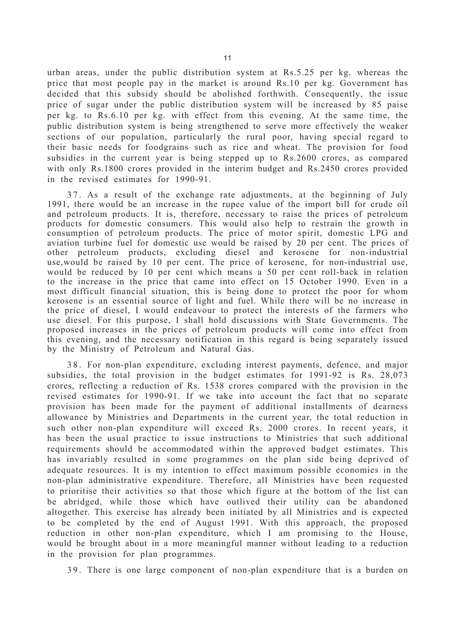urban areas, under the public distribution system at Rs.5.25 per kg. whereas the price that most people pay in the market is around Rs.10 per kg. Government has decided that this subsidy should be abolished forthwith. Consequently, the issue price of sugar under the public distribution system will be increased by 85 paise per kg. to Rs.6.10 per kg. with effect from this evening. At the same time, the public distribution system is being strengthened to serve more effectively the weaker sections of our population, particularly the rural poor, having special regard to their basic needs for foodgrains such as rice and wheat. The provision for food subsidies in the current year is being stepped up to Rs.2600 crores, as compared with only Rs.1800 crores provided in the interim budget and Rs.2450 crores provided in the revised estimates for 1990-91.

37. As a result of the exchange rate adjustments, at the beginning of July 1991, there would be an increase in the rupee value of the import bill for crude oil and petroleum products. It is, therefore, necessary to raise the prices of petroleum products for domestic consumers. This would also help to restrain the growth in consumption of petroleum products. The price of motor spirit, domestic LPG and aviation turbine fuel for domestic use would be raised by 20 per cent. The prices of other petroleum products, excluding diesel and kerosene for non-industrial use,would be raised by 10 per cent. The price of kerosene, for non-industrial use, would be reduced by 10 per cent which means a 50 per cent roll-back in relation to the increase in the price that came into effect on 15 October 1990. Even in a most difficult financial situation, this is being done to protect the poor for whom kerosene is an essential source of light and fuel. While there will be no increase in the price of diesel, I would endeavour to protect the interests of the farmers who use diesel. For this purpose, I shall hold discussions with State Governments. The proposed increases in the prices of petroleum products will come into effect from this evening, and the necessary notification in this regard is being separately issued by the Ministry of Petroleum and Natural Gas.

38. For non-plan expenditure, excluding interest payments, defence, and major subsidies, the total provision in the budget estimates for 1991-92 is Rs. 28,073 crores, reflecting a reduction of Rs. 1538 crores compared with the provision in the revised estimates for 1990-91. If we take into account the fact that no separate provision has been made for the payment of additional installments of dearness allowance by Ministries and Departments in the current year, the total reduction in such other non-plan expenditure will exceed Rs. 2000 crores. In recent years, it has been the usual practice to issue instructions to Ministries that such additional requirements should be accommodated within the approved budget estimates. This has invariably resulted in some programmes on the plan side being deprived of adequate resources. It is my intention to effect maximum possible economies in the non-plan administrative expenditure. Therefore, all Ministries have been requested to prioritise their activities so that those which figure at the bottom of the list can be abridged, while those which have outlived their utility can be abandoned altogether. This exercise has already been initiated by all Ministries and is expected to be completed by the end of August 1991. With this approach, the proposed reduction in other non-plan expenditure, which I am promising to the House, would be brought about in a more meaningful manner without leading to a reduction in the provision for plan programmes.

39. There is one large component of non-plan expenditure that is a burden on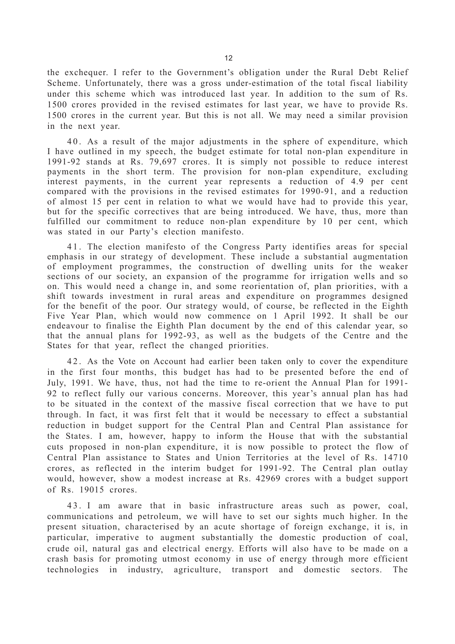the exchequer. I refer to the Government's obligation under the Rural Debt Relief Scheme. Unfortunately, there was a gross under-estimation of the total fiscal liability under this scheme which was introduced last year. In addition to the sum of Rs. 1500 crores provided in the revised estimates for last year, we have to provide Rs. 1500 crores in the current year. But this is not all. We may need a similar provision in the next year.

40. As a result of the major adjustments in the sphere of expenditure, which I have outlined in my speech, the budget estimate for total non-plan expenditure in 1991-92 stands at Rs. 79,697 crores. It is simply not possible to reduce interest payments in the short term. The provision for non-plan expenditure, excluding interest payments, in the current year represents a reduction of 4.9 per cent compared with the provisions in the revised estimates for 1990-91, and a reduction of almost 15 per cent in relation to what we would have had to provide this year, but for the specific correctives that are being introduced. We have, thus, more than fulfilled our commitment to reduce non-plan expenditure by 10 per cent, which was stated in our Party's election manifesto.

41. The election manifesto of the Congress Party identifies areas for special emphasis in our strategy of development. These include a substantial augmentation of employment programmes, the construction of dwelling units for the weaker sections of our society, an expansion of the programme for irrigation wells and so on. This would need a change in, and some reorientation of, plan priorities, with a shift towards investment in rural areas and expenditure on programmes designed for the benefit of the poor. Our strategy would, of course, be reflected in the Eighth Five Year Plan, which would now commence on 1 April 1992. It shall be our endeavour to finalise the Eighth Plan document by the end of this calendar year, so that the annual plans for 1992-93, as well as the budgets of the Centre and the States for that year, reflect the changed priorities.

4 2 . As the Vote on Account had earlier been taken only to cover the expenditure in the first four months, this budget has had to be presented before the end of July, 1991. We have, thus, not had the time to re-orient the Annual Plan for 1991- 92 to reflect fully our various concerns. Moreover, this year's annual plan has had to be situated in the context of the massive fiscal correction that we have to put through. In fact, it was first felt that it would be necessary to effect a substantial reduction in budget support for the Central Plan and Central Plan assistance for the States. I am, however, happy to inform the House that with the substantial cuts proposed in non-plan expenditure, it is now possible to protect the flow of Central Plan assistance to States and Union Territories at the level of Rs. 14710 crores, as reflected in the interim budget for 1991-92. The Central plan outlay would, however, show a modest increase at Rs. 42969 crores with a budget support of Rs. 19015 crores.

4 3 . I am aware that in basic infrastructure areas such as power, coal, communications and petroleum, we will have to set our sights much higher. In the present situation, characterised by an acute shortage of foreign exchange, it is, in particular, imperative to augment substantially the domestic production of coal, crude oil, natural gas and electrical energy. Efforts will also have to be made on a crash basis for promoting utmost economy in use of energy through more efficient technologies in industry, agriculture, transport and domestic sectors. The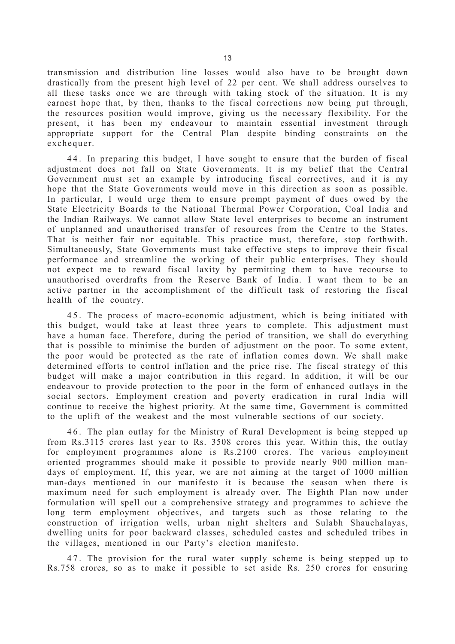transmission and distribution line losses would also have to be brought down drastically from the present high level of 22 per cent. We shall address ourselves to all these tasks once we are through with taking stock of the situation. It is my earnest hope that, by then, thanks to the fiscal corrections now being put through, the resources position would improve, giving us the necessary flexibility. For the present, it has been my endeavour to maintain essential investment through appropriate support for the Central Plan despite binding constraints on the exchequer.

44. In preparing this budget, I have sought to ensure that the burden of fiscal adjustment does not fall on State Governments. It is my belief that the Central Government must set an example by introducing fiscal correctives, and it is my hope that the State Governments would move in this direction as soon as possible. In particular, I would urge them to ensure prompt payment of dues owed by the State Electricity Boards to the National Thermal Power Corporation, Coal India and the Indian Railways. We cannot allow State level enterprises to become an instrument of unplanned and unauthorised transfer of resources from the Centre to the States. That is neither fair nor equitable. This practice must, therefore, stop forthwith. Simultaneously, State Governments must take effective steps to improve their fiscal performance and streamline the working of their public enterprises. They should not expect me to reward fiscal laxity by permitting them to have recourse to unauthorised overdrafts from the Reserve Bank of India. I want them to be an active partner in the accomplishment of the difficult task of restoring the fiscal health of the country.

45. The process of macro-economic adjustment, which is being initiated with this budget, would take at least three years to complete. This adjustment must have a human face. Therefore, during the period of transition, we shall do everything that is possible to minimise the burden of adjustment on the poor. To some extent, the poor would be protected as the rate of inflation comes down. We shall make determined efforts to control inflation and the price rise. The fiscal strategy of this budget will make a major contribution in this regard. In addition, it will be our endeavour to provide protection to the poor in the form of enhanced outlays in the social sectors. Employment creation and poverty eradication in rural India will continue to receive the highest priority. At the same time, Government is committed to the uplift of the weakest and the most vulnerable sections of our society.

46. The plan outlay for the Ministry of Rural Development is being stepped up from Rs.3115 crores last year to Rs. 3508 crores this year. Within this, the outlay for employment programmes alone is Rs.2100 crores. The various employment oriented programmes should make it possible to provide nearly 900 million mandays of employment. If, this year, we are not aiming at the target of 1000 million man-days mentioned in our manifesto it is because the season when there is maximum need for such employment is already over. The Eighth Plan now under formulation will spell out a comprehensive strategy and programmes to achieve the long term employment objectives, and targets such as those relating to the construction of irrigation wells, urban night shelters and Sulabh Shauchalayas, dwelling units for poor backward classes, scheduled castes and scheduled tribes in the villages, mentioned in our Party's election manifesto.

47. The provision for the rural water supply scheme is being stepped up to Rs.758 crores, so as to make it possible to set aside Rs. 250 crores for ensuring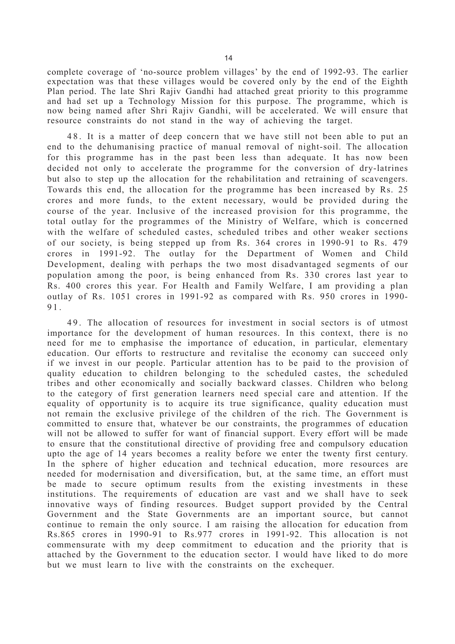complete coverage of 'no-source problem villages' by the end of 1992-93. The earlier expectation was that these villages would be covered only by the end of the Eighth Plan period. The late Shri Rajiv Gandhi had attached great priority to this programme and had set up a Technology Mission for this purpose. The programme, which is now being named after Shri Rajiv Gandhi, will be accelerated. We will ensure that resource constraints do not stand in the way of achieving the target.

48. It is a matter of deep concern that we have still not been able to put an end to the dehumanising practice of manual removal of night-soil. The allocation for this programme has in the past been less than adequate. It has now been decided not only to accelerate the programme for the conversion of dry-latrines but also to step up the allocation for the rehabilitation and retraining of scavengers. Towards this end, the allocation for the programme has been increased by Rs. 25 crores and more funds, to the extent necessary, would be provided during the course of the year. Inclusive of the increased provision for this programme, the total outlay for the programmes of the Ministry of Welfare, which is concerned with the welfare of scheduled castes, scheduled tribes and other weaker sections of our society, is being stepped up from Rs. 364 crores in 1990-91 to Rs. 479 crores in 1991-92. The outlay for the Department of Women and Child Development, dealing with perhaps the two most disadvantaged segments of our population among the poor, is being enhanced from Rs. 330 crores last year to Rs. 400 crores this year. For Health and Family Welfare, I am providing a plan outlay of Rs. 1051 crores in 1991-92 as compared with Rs. 950 crores in 1990- 91.

49. The allocation of resources for investment in social sectors is of utmost importance for the development of human resources. In this context, there is no need for me to emphasise the importance of education, in particular, elementary education. Our efforts to restructure and revitalise the economy can succeed only if we invest in our people. Particular attention has to be paid to the provision of quality education to children belonging to the scheduled castes, the scheduled tribes and other economically and socially backward classes. Children who belong to the category of first generation learners need special care and attention. If the equality of opportunity is to acquire its true significance, quality education must not remain the exclusive privilege of the children of the rich. The Government is committed to ensure that, whatever be our constraints, the programmes of education will not be allowed to suffer for want of financial support. Every effort will be made to ensure that the constitutional directive of providing free and compulsory education upto the age of 14 years becomes a reality before we enter the twenty first century. In the sphere of higher education and technical education, more resources are needed for modernisation and diversification, but, at the same time, an effort must be made to secure optimum results from the existing investments in these institutions. The requirements of education are vast and we shall have to seek innovative ways of finding resources. Budget support provided by the Central Government and the State Governments are an important source, but cannot continue to remain the only source. I am raising the allocation for education from Rs.865 crores in 1990-91 to Rs.977 crores in 1991-92. This allocation is not commensurate with my deep commitment to education and the priority that is attached by the Government to the education sector. I would have liked to do more but we must learn to live with the constraints on the exchequer.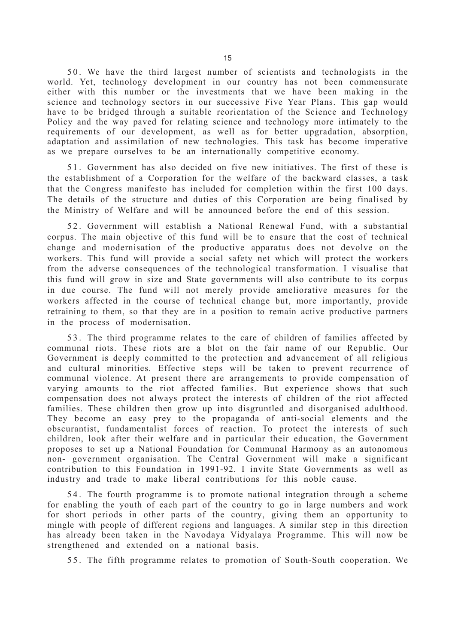5 0 . We have the third largest number of scientists and technologists in the world. Yet, technology development in our country has not been commensurate either with this number or the investments that we have been making in the science and technology sectors in our successive Five Year Plans. This gap would have to be bridged through a suitable reorientation of the Science and Technology Policy and the way paved for relating science and technology more intimately to the requirements of our development, as well as for better upgradation, absorption, adaptation and assimilation of new technologies. This task has become imperative as we prepare ourselves to be an internationally competitive economy.

51. Government has also decided on five new initiatives. The first of these is the establishment of a Corporation for the welfare of the backward classes, a task that the Congress manifesto has included for completion within the first 100 days. The details of the structure and duties of this Corporation are being finalised by the Ministry of Welfare and will be announced before the end of this session.

52. Government will establish a National Renewal Fund, with a substantial corpus. The main objective of this fund will be to ensure that the cost of technical change and modernisation of the productive apparatus does not devolve on the workers. This fund will provide a social safety net which will protect the workers from the adverse consequences of the technological transformation. I visualise that this fund will grow in size and State governments will also contribute to its corpus in due course. The fund will not merely provide ameliorative measures for the workers affected in the course of technical change but, more importantly, provide retraining to them, so that they are in a position to remain active productive partners in the process of modernisation.

53. The third programme relates to the care of children of families affected by communal riots. These riots are a blot on the fair name of our Republic. Our Government is deeply committed to the protection and advancement of all religious and cultural minorities. Effective steps will be taken to prevent recurrence of communal violence. At present there are arrangements to provide compensation of varying amounts to the riot affected families. But experience shows that such compensation does not always protect the interests of children of the riot affected families. These children then grow up into disgruntled and disorganised adulthood. They become an easy prey to the propaganda of anti-social elements and the obscurantist, fundamentalist forces of reaction. To protect the interests of such children, look after their welfare and in particular their education, the Government proposes to set up a National Foundation for Communal Harmony as an autonomous non- government organisation. The Central Government will make a significant contribution to this Foundation in 1991-92. I invite State Governments as well as industry and trade to make liberal contributions for this noble cause.

54. The fourth programme is to promote national integration through a scheme for enabling the youth of each part of the country to go in large numbers and work for short periods in other parts of the country, giving them an opportunity to mingle with people of different regions and languages. A similar step in this direction has already been taken in the Navodaya Vidyalaya Programme. This will now be strengthened and extended on a national basis.

5 5 . The fifth programme relates to promotion of South-South cooperation. We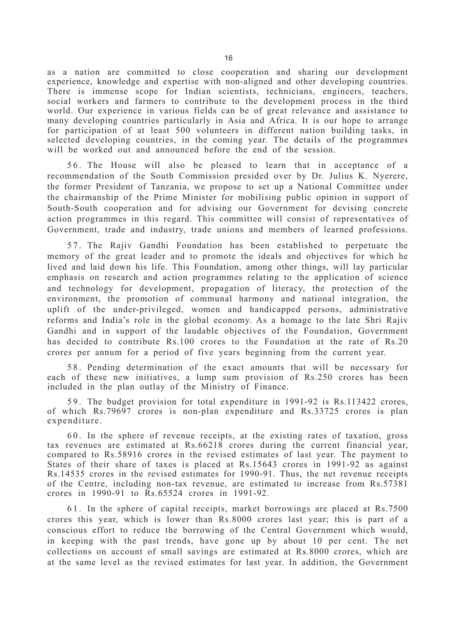as a nation are committed to close cooperation and sharing our development experience, knowledge and expertise with non-aligned and other developing countries. There is immense scope for Indian scientists, technicians, engineers, teachers, social workers and farmers to contribute to the development process in the third world. Our experience in various fields can be of great relevance and assistance to many developing countries particularly in Asia and Africa. It is our hope to arrange for participation of at least 500 volunteers in different nation building tasks, in selected developing countries, in the coming year. The details of the programmes will be worked out and announced before the end of the session.

56. The House will also be pleased to learn that in acceptance of a recommendation of the South Commission presided over by Dr. Julius K. Nyerere, the former President of Tanzania, we propose to set up a National Committee under the chairmanship of the Prime Minister for mobilising public opinion in support of South-South cooperation and for advising our Government for devising concrete action programmes in this regard. This committee will consist of representatives of Government, trade and industry, trade unions and members of learned professions.

57. The Rajiv Gandhi Foundation has been established to perpetuate the memory of the great leader and to promote the ideals and objectives for which he lived and laid down his life. This Foundation, among other things, will lay particular emphasis on research and action programmes relating to the application of science and technology for development, propagation of literacy, the protection of the environment, the promotion of communal harmony and national integration, the uplift of the under-privileged, women and handicapped persons, administrative reforms and India's role in the global economy. As a homage to the late Shri Rajiv Gandhi and in support of the laudable objectives of the Foundation, Government has decided to contribute Rs.100 crores to the Foundation at the rate of Rs.20 crores per annum for a period of five years beginning from the current year.

58. Pending determination of the exact amounts that will be necessary for each of these new initiatives, a lump sum provision of Rs.250 crores has been included in the plan outlay of the Ministry of Finance.

5 9 . The budget provision for total expenditure in 1991-92 is Rs.113422 crores, of which Rs.79697 crores is non-plan expenditure and Rs.33725 crores is plan expenditure.

60. In the sphere of revenue receipts, at the existing rates of taxation, gross tax revenues are estimated at Rs.66218 crores during the current financial year, compared to Rs.58916 crores in the revised estimates of last year. The payment to States of their share of taxes is placed at Rs.15643 crores in 1991-92 as against Rs.14535 crores in the revised estimates for 1990-91. Thus, the net revenue receipts of the Centre, including non-tax revenue, are estimated to increase from Rs.57381 crores in 1990-91 to Rs.65524 crores in 1991-92.

61. In the sphere of capital receipts, market borrowings are placed at Rs.7500 crores this year, which is lower than Rs.8000 crores last year; this is part of a conscious effort to reduce the borrowing of the Central Government which would, in keeping with the past trends, have gone up by about 10 per cent. The net collections on account of small savings are estimated at Rs.8000 crores, which are at the same level as the revised estimates for last year. In addition, the Government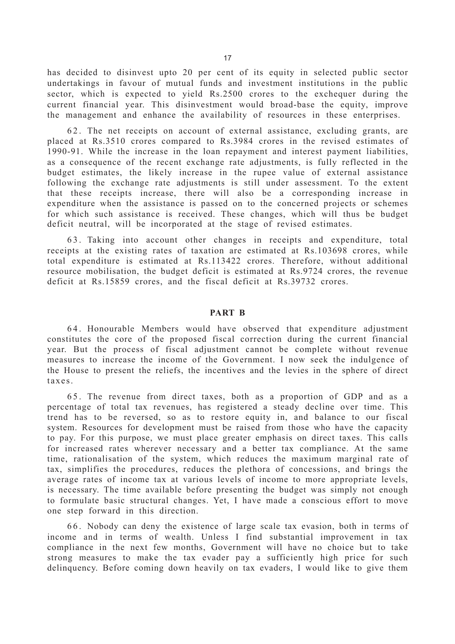has decided to disinvest upto 20 per cent of its equity in selected public sector undertakings in favour of mutual funds and investment institutions in the public sector, which is expected to yield Rs.2500 crores to the exchequer during the current financial year. This disinvestment would broad-base the equity, improve the management and enhance the availability of resources in these enterprises.

62. The net receipts on account of external assistance, excluding grants, are placed at Rs.3510 crores compared to Rs.3984 crores in the revised estimates of 1990-91. While the increase in the loan repayment and interest payment liabilities, as a consequence of the recent exchange rate adjustments, is fully reflected in the budget estimates, the likely increase in the rupee value of external assistance following the exchange rate adjustments is still under assessment. To the extent that these receipts increase, there will also be a corresponding increase in expenditure when the assistance is passed on to the concerned projects or schemes for which such assistance is received. These changes, which will thus be budget deficit neutral, will be incorporated at the stage of revised estimates.

63. Taking into account other changes in receipts and expenditure, total receipts at the existing rates of taxation are estimated at Rs.103698 crores, while total expenditure is estimated at Rs.113422 crores. Therefore, without additional resource mobilisation, the budget deficit is estimated at Rs.9724 crores, the revenue deficit at Rs.15859 crores, and the fiscal deficit at Rs.39732 crores.

## **PART B**

64. Honourable Members would have observed that expenditure adjustment constitutes the core of the proposed fiscal correction during the current financial year. But the process of fiscal adjustment cannot be complete without revenue measures to increase the income of the Government. I now seek the indulgence of the House to present the reliefs, the incentives and the levies in the sphere of direct taxes.

6 5 . The revenue from direct taxes, both as a proportion of GDP and as a percentage of total tax revenues, has registered a steady decline over time. This trend has to be reversed, so as to restore equity in, and balance to our fiscal system. Resources for development must be raised from those who have the capacity to pay. For this purpose, we must place greater emphasis on direct taxes. This calls for increased rates wherever necessary and a better tax compliance. At the same time, rationalisation of the system, which reduces the maximum marginal rate of tax, simplifies the procedures, reduces the plethora of concessions, and brings the average rates of income tax at various levels of income to more appropriate levels, is necessary. The time available before presenting the budget was simply not enough to formulate basic structural changes. Yet, I have made a conscious effort to move one step forward in this direction.

66. Nobody can deny the existence of large scale tax evasion, both in terms of income and in terms of wealth. Unless I find substantial improvement in tax compliance in the next few months, Government will have no choice but to take strong measures to make the tax evader pay a sufficiently high price for such delinquency. Before coming down heavily on tax evaders, I would like to give them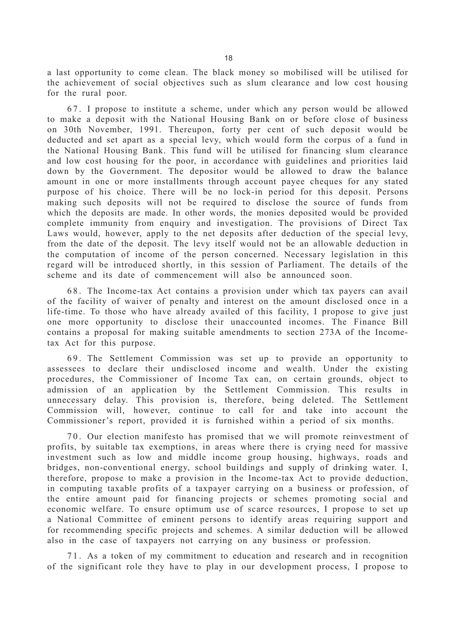a last opportunity to come clean. The black money so mobilised will be utilised for the achievement of social objectives such as slum clearance and low cost housing for the rural poor.

67. I propose to institute a scheme, under which any person would be allowed to make a deposit with the National Housing Bank on or before close of business on 30th November, 1991. Thereupon, forty per cent of such deposit would be deducted and set apart as a special levy, which would form the corpus of a fund in the National Housing Bank. This fund will be utilised for financing slum clearance and low cost housing for the poor, in accordance with guidelines and priorities laid down by the Government. The depositor would be allowed to draw the balance amount in one or more installments through account payee cheques for any stated purpose of his choice. There will be no lock-in period for this deposit. Persons making such deposits will not be required to disclose the source of funds from which the deposits are made. In other words, the monies deposited would be provided complete immunity from enquiry and investigation. The provisions of Direct Tax Laws would, however, apply to the net deposits after deduction of the special levy, from the date of the deposit. The levy itself would not be an allowable deduction in the computation of income of the person concerned. Necessary legislation in this regard will be introduced shortly, in this session of Parliament. The details of the scheme and its date of commencement will also be announced soon.

6 8 . The Income-tax Act contains a provision under which tax payers can avail of the facility of waiver of penalty and interest on the amount disclosed once in a life-time. To those who have already availed of this facility, I propose to give just one more opportunity to disclose their unaccounted incomes. The Finance Bill contains a proposal for making suitable amendments to section 273A of the Incometax Act for this purpose.

69. The Settlement Commission was set up to provide an opportunity to assessees to declare their undisclosed income and wealth. Under the existing procedures, the Commissioner of Income Tax can, on certain grounds, object to admission of an application by the Settlement Commission. This results in unnecessary delay. This provision is, therefore, being deleted. The Settlement Commission will, however, continue to call for and take into account the Commissioner's report, provided it is furnished within a period of six months.

70. Our election manifesto has promised that we will promote reinvestment of profits, by suitable tax exemptions, in areas where there is crying need for massive investment such as low and middle income group housing, highways, roads and bridges, non-conventional energy, school buildings and supply of drinking water. I, therefore, propose to make a provision in the Income-tax Act to provide deduction, in computing taxable profits of a taxpayer carrying on a business or profession, of the entire amount paid for financing projects or schemes promoting social and economic welfare. To ensure optimum use of scarce resources, I propose to set up a National Committee of eminent persons to identify areas requiring support and for recommending specific projects and schemes. A similar deduction will be allowed also in the case of taxpayers not carrying on any business or profession.

71. As a token of my commitment to education and research and in recognition of the significant role they have to play in our development process, I propose to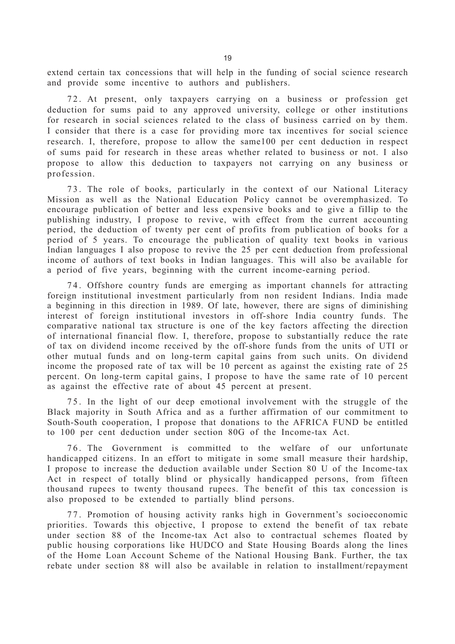extend certain tax concessions that will help in the funding of social science research and provide some incentive to authors and publishers.

72. At present, only taxpayers carrying on a business or profession get deduction for sums paid to any approved university, college or other institutions for research in social sciences related to the class of business carried on by them. I consider that there is a case for providing more tax incentives for social science research. I, therefore, propose to allow the same100 per cent deduction in respect of sums paid for research in these areas whether related to business or not. I also propose to allow this deduction to taxpayers not carrying on any business or profession.

73. The role of books, particularly in the context of our National Literacy Mission as well as the National Education Policy cannot be overemphasized. To encourage publication of better and less expensive books and to give a fillip to the publishing industry, I propose to revive, with effect from the current accounting period, the deduction of twenty per cent of profits from publication of books for a period of 5 years. To encourage the publication of quality text books in various Indian languages I also propose to revive the 25 per cent deduction from professional income of authors of text books in Indian languages. This will also be available for a period of five years, beginning with the current income-earning period.

74. Offshore country funds are emerging as important channels for attracting foreign institutional investment particularly from non resident Indians. India made a beginning in this direction in 1989. Of late, however, there are signs of diminishing interest of foreign institutional investors in off-shore India country funds. The comparative national tax structure is one of the key factors affecting the direction of international financial flow. I, therefore, propose to substantially reduce the rate of tax on dividend income received by the off-shore funds from the units of UTI or other mutual funds and on long-term capital gains from such units. On dividend income the proposed rate of tax will be 10 percent as against the existing rate of 25 percent. On long-term capital gains, I propose to have the same rate of 10 percent as against the effective rate of about 45 percent at present.

75. In the light of our deep emotional involvement with the struggle of the Black majority in South Africa and as a further affirmation of our commitment to South-South cooperation, I propose that donations to the AFRICA FUND be entitled to 100 per cent deduction under section 80G of the Income-tax Act.

76. The Government is committed to the welfare of our unfortunate handicapped citizens. In an effort to mitigate in some small measure their hardship, I propose to increase the deduction available under Section 80 U of the Income-tax Act in respect of totally blind or physically handicapped persons, from fifteen thousand rupees to twenty thousand rupees. The benefit of this tax concession is also proposed to be extended to partially blind persons.

7 7 . Promotion of housing activity ranks high in Government's socioeconomic priorities. Towards this objective, I propose to extend the benefit of tax rebate under section 88 of the Income-tax Act also to contractual schemes floated by public housing corporations like HUDCO and State Housing Boards along the lines of the Home Loan Account Scheme of the National Housing Bank. Further, the tax rebate under section 88 will also be available in relation to installment/repayment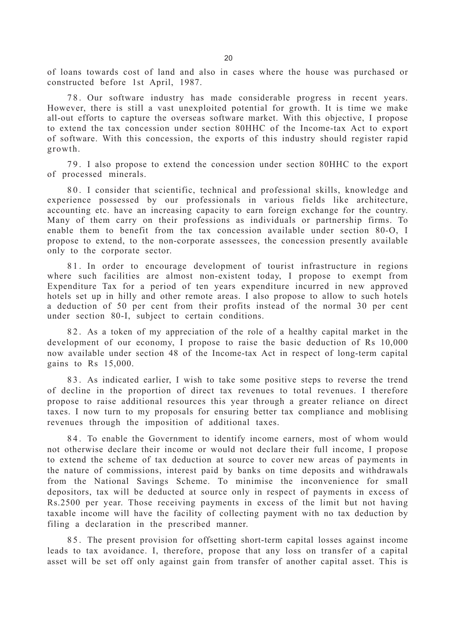of loans towards cost of land and also in cases where the house was purchased or constructed before 1st April, 1987.

78. Our software industry has made considerable progress in recent years. However, there is still a vast unexploited potential for growth. It is time we make all-out efforts to capture the overseas software market. With this objective, I propose to extend the tax concession under section 80HHC of the Income-tax Act to export of software. With this concession, the exports of this industry should register rapid growth.

79. I also propose to extend the concession under section 80HHC to the export of processed minerals.

80. I consider that scientific, technical and professional skills, knowledge and experience possessed by our professionals in various fields like architecture, accounting etc. have an increasing capacity to earn foreign exchange for the country. Many of them carry on their professions as individuals or partnership firms. To enable them to benefit from the tax concession available under section 80-O, I propose to extend, to the non-corporate assessees, the concession presently available only to the corporate sector.

81. In order to encourage development of tourist infrastructure in regions where such facilities are almost non-existent today, I propose to exempt from Expenditure Tax for a period of ten years expenditure incurred in new approved hotels set up in hilly and other remote areas. I also propose to allow to such hotels a deduction of 50 per cent from their profits instead of the normal 30 per cent under section 80-I, subject to certain conditions.

82. As a token of my appreciation of the role of a healthy capital market in the development of our economy, I propose to raise the basic deduction of Rs 10,000 now available under section 48 of the Income-tax Act in respect of long-term capital gains to Rs 15,000.

8 3 . As indicated earlier, I wish to take some positive steps to reverse the trend of decline in the proportion of direct tax revenues to total revenues. I therefore propose to raise additional resources this year through a greater reliance on direct taxes. I now turn to my proposals for ensuring better tax compliance and moblising revenues through the imposition of additional taxes.

84. To enable the Government to identify income earners, most of whom would not otherwise declare their income or would not declare their full income, I propose to extend the scheme of tax deduction at source to cover new areas of payments in the nature of commissions, interest paid by banks on time deposits and withdrawals from the National Savings Scheme. To minimise the inconvenience for small depositors, tax will be deducted at source only in respect of payments in excess of Rs.2500 per year. Those receiving payments in excess of the limit but not having taxable income will have the facility of collecting payment with no tax deduction by filing a declaration in the prescribed manner.

85. The present provision for offsetting short-term capital losses against income leads to tax avoidance. I, therefore, propose that any loss on transfer of a capital asset will be set off only against gain from transfer of another capital asset. This is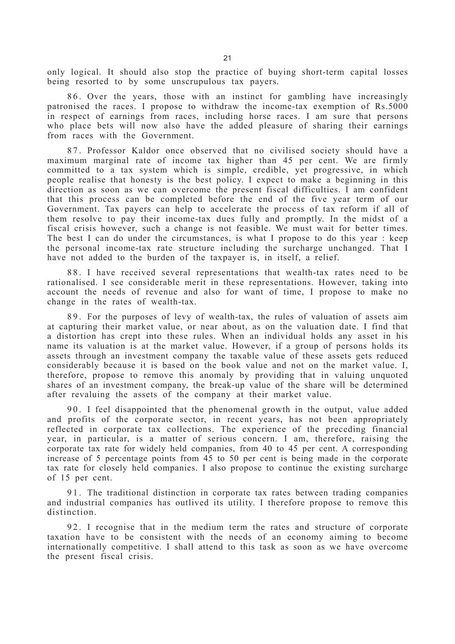only logical. It should also stop the practice of buying short-term capital losses being resorted to by some unscrupulous tax payers.

86. Over the years, those with an instinct for gambling have increasingly patronised the races. I propose to withdraw the income-tax exemption of Rs.5000 in respect of earnings from races, including horse races. I am sure that persons who place bets will now also have the added pleasure of sharing their earnings from races with the Government.

87. Professor Kaldor once observed that no civilised society should have a maximum marginal rate of income tax higher than 45 per cent. We are firmly committed to a tax system which is simple, credible, yet progressive, in which people realise that honesty is the best policy. I expect to make a beginning in this direction as soon as we can overcome the present fiscal difficulties. I am confident that this process can be completed before the end of the five year term of our Government. Tax payers can help to accelerate the process of tax reform if all of them resolve to pay their income-tax dues fully and promptly. In the midst of a fiscal crisis however, such a change is not feasible. We must wait for better times. The best I can do under the circumstances, is what I propose to do this year : keep the personal income-tax rate structure including the surcharge unchanged. That I have not added to the burden of the taxpayer is, in itself, a relief.

88. I have received several representations that wealth-tax rates need to be rationalised. I see considerable merit in these representations. However, taking into account the needs of revenue and also for want of time, I propose to make no change in the rates of wealth-tax.

89. For the purposes of levy of wealth-tax, the rules of valuation of assets aim at capturing their market value, or near about, as on the valuation date. I find that a distortion has crept into these rules. When an individual holds any asset in his name its valuation is at the market value. However, if a group of persons holds its assets through an investment company the taxable value of these assets gets reduced considerably because it is based on the book value and not on the market value. I, therefore, propose to remove this anomaly by providing that in valuing unquoted shares of an investment company, the break-up value of the share will be determined after revaluing the assets of the company at their market value.

90. I feel disappointed that the phenomenal growth in the output, value added and profits of the corporate sector, in recent years, has not been appropriately reflected in corporate tax collections. The experience of the preceding financial year, in particular, is a matter of serious concern. I am, therefore, raising the corporate tax rate for widely held companies, from 40 to 45 per cent. A corresponding increase of 5 percentage points from 45 to 50 per cent is being made in the corporate tax rate for closely held companies. I also propose to continue the existing surcharge of 15 per cent.

91. The traditional distinction in corporate tax rates between trading companies and industrial companies has outlived its utility. I therefore propose to remove this distinction.

92. I recognise that in the medium term the rates and structure of corporate taxation have to be consistent with the needs of an economy aiming to become internationally competitive. I shall attend to this task as soon as we have overcome the present fiscal crisis.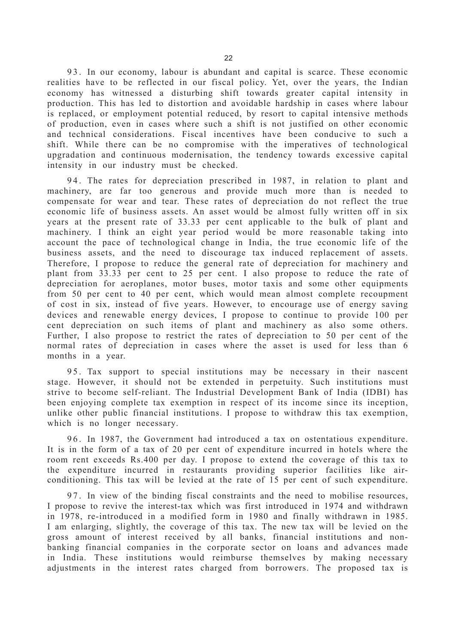93. In our economy, labour is abundant and capital is scarce. These economic realities have to be reflected in our fiscal policy. Yet, over the years, the Indian economy has witnessed a disturbing shift towards greater capital intensity in production. This has led to distortion and avoidable hardship in cases where labour is replaced, or employment potential reduced, by resort to capital intensive methods of production, even in cases where such a shift is not justified on other economic and technical considerations. Fiscal incentives have been conducive to such a shift. While there can be no compromise with the imperatives of technological upgradation and continuous modernisation, the tendency towards excessive capital intensity in our industry must be checked.

94. The rates for depreciation prescribed in 1987, in relation to plant and machinery, are far too generous and provide much more than is needed to compensate for wear and tear. These rates of depreciation do not reflect the true economic life of business assets. An asset would be almost fully written off in six years at the present rate of 33.33 per cent applicable to the bulk of plant and machinery. I think an eight year period would be more reasonable taking into account the pace of technological change in India, the true economic life of the business assets, and the need to discourage tax induced replacement of assets. Therefore, I propose to reduce the general rate of depreciation for machinery and plant from 33.33 per cent to 25 per cent. I also propose to reduce the rate of depreciation for aeroplanes, motor buses, motor taxis and some other equipments from 50 per cent to 40 per cent, which would mean almost complete recoupment of cost in six, instead of five years. However, to encourage use of energy saving devices and renewable energy devices, I propose to continue to provide 100 per cent depreciation on such items of plant and machinery as also some others. Further, I also propose to restrict the rates of depreciation to 50 per cent of the normal rates of depreciation in cases where the asset is used for less than 6 months in a year.

95. Tax support to special institutions may be necessary in their nascent stage. However, it should not be extended in perpetuity. Such institutions must strive to become self-reliant. The Industrial Development Bank of India (IDBI) has been enjoying complete tax exemption in respect of its income since its inception, unlike other public financial institutions. I propose to withdraw this tax exemption, which is no longer necessary.

96. In 1987, the Government had introduced a tax on ostentatious expenditure. It is in the form of a tax of 20 per cent of expenditure incurred in hotels where the room rent exceeds Rs.400 per day. I propose to extend the coverage of this tax to the expenditure incurred in restaurants providing superior facilities like airconditioning. This tax will be levied at the rate of 15 per cent of such expenditure.

97. In view of the binding fiscal constraints and the need to mobilise resources, I propose to revive the interest-tax which was first introduced in 1974 and withdrawn in 1978, re-introduced in a modified form in 1980 and finally withdrawn in 1985. I am enlarging, slightly, the coverage of this tax. The new tax will be levied on the gross amount of interest received by all banks, financial institutions and nonbanking financial companies in the corporate sector on loans and advances made in India. These institutions would reimburse themselves by making necessary adjustments in the interest rates charged from borrowers. The proposed tax is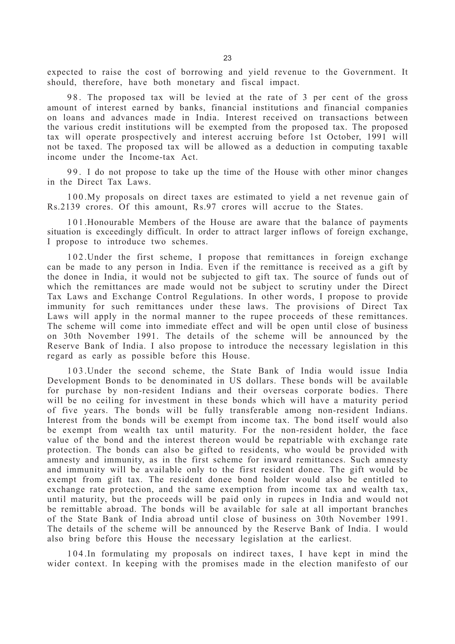expected to raise the cost of borrowing and yield revenue to the Government. It should, therefore, have both monetary and fiscal impact.

98. The proposed tax will be levied at the rate of 3 per cent of the gross amount of interest earned by banks, financial institutions and financial companies on loans and advances made in India. Interest received on transactions between the various credit institutions will be exempted from the proposed tax. The proposed tax will operate prospectively and interest accruing before 1st October, 1991 will not be taxed. The proposed tax will be allowed as a deduction in computing taxable income under the Income-tax Act.

99. I do not propose to take up the time of the House with other minor changes in the Direct Tax Laws.

100.My proposals on direct taxes are estimated to yield a net revenue gain of Rs.2139 crores. Of this amount, Rs.97 crores will accrue to the States.

101.Honourable Members of the House are aware that the balance of payments situation is exceedingly difficult. In order to attract larger inflows of foreign exchange, I propose to introduce two schemes.

102.Under the first scheme, I propose that remittances in foreign exchange can be made to any person in India. Even if the remittance is received as a gift by the donee in India, it would not be subjected to gift tax. The source of funds out of which the remittances are made would not be subject to scrutiny under the Direct Tax Laws and Exchange Control Regulations. In other words, I propose to provide immunity for such remittances under these laws. The provisions of Direct Tax Laws will apply in the normal manner to the rupee proceeds of these remittances. The scheme will come into immediate effect and will be open until close of business on 30th November 1991. The details of the scheme will be announced by the Reserve Bank of India. I also propose to introduce the necessary legislation in this regard as early as possible before this House.

103.Under the second scheme, the State Bank of India would issue India Development Bonds to be denominated in US dollars. These bonds will be available for purchase by non-resident Indians and their overseas corporate bodies. There will be no ceiling for investment in these bonds which will have a maturity period of five years. The bonds will be fully transferable among non-resident Indians. Interest from the bonds will be exempt from income tax. The bond itself would also be exempt from wealth tax until maturity. For the non-resident holder, the face value of the bond and the interest thereon would be repatriable with exchange rate protection. The bonds can also be gifted to residents, who would be provided with amnesty and immunity, as in the first scheme for inward remittances. Such amnesty and immunity will be available only to the first resident donee. The gift would be exempt from gift tax. The resident donee bond holder would also be entitled to exchange rate protection, and the same exemption from income tax and wealth tax, until maturity, but the proceeds will be paid only in rupees in India and would not be remittable abroad. The bonds will be available for sale at all important branches of the State Bank of India abroad until close of business on 30th November 1991. The details of the scheme will be announced by the Reserve Bank of India. I would also bring before this House the necessary legislation at the earliest.

104.In formulating my proposals on indirect taxes, I have kept in mind the wider context. In keeping with the promises made in the election manifesto of our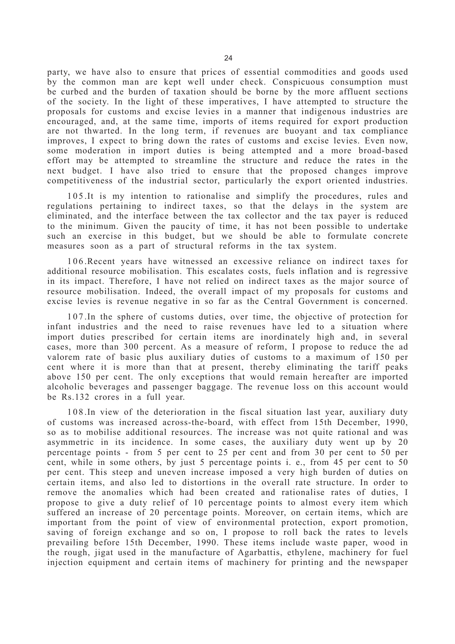party, we have also to ensure that prices of essential commodities and goods used by the common man are kept well under check. Conspicuous consumption must be curbed and the burden of taxation should be borne by the more affluent sections of the society. In the light of these imperatives, I have attempted to structure the proposals for customs and excise levies in a manner that indigenous industries are encouraged, and, at the same time, imports of items required for export production are not thwarted. In the long term, if revenues are buoyant and tax compliance improves, I expect to bring down the rates of customs and excise levies. Even now, some moderation in import duties is being attempted and a more broad-based effort may be attempted to streamline the structure and reduce the rates in the next budget. I have also tried to ensure that the proposed changes improve competitiveness of the industrial sector, particularly the export oriented industries.

105.It is my intention to rationalise and simplify the procedures, rules and regulations pertaining to indirect taxes, so that the delays in the system are eliminated, and the interface between the tax collector and the tax payer is reduced to the minimum. Given the paucity of time, it has not been possible to undertake such an exercise in this budget, but we should be able to formulate concrete measures soon as a part of structural reforms in the tax system.

106.Recent years have witnessed an excessive reliance on indirect taxes for additional resource mobilisation. This escalates costs, fuels inflation and is regressive in its impact. Therefore, I have not relied on indirect taxes as the major source of resource mobilisation. Indeed, the overall impact of my proposals for customs and excise levies is revenue negative in so far as the Central Government is concerned.

107.In the sphere of customs duties, over time, the objective of protection for infant industries and the need to raise revenues have led to a situation where import duties prescribed for certain items are inordinately high and, in several cases, more than 300 percent. As a measure of reform, I propose to reduce the ad valorem rate of basic plus auxiliary duties of customs to a maximum of 150 per cent where it is more than that at present, thereby eliminating the tariff peaks above 150 per cent. The only exceptions that would remain hereafter are imported alcoholic beverages and passenger baggage. The revenue loss on this account would be Rs.132 crores in a full year.

108.In view of the deterioration in the fiscal situation last year, auxiliary duty of customs was increased across-the-board, with effect from 15th December, 1990, so as to mobilise additional resources. The increase was not quite rational and was asymmetric in its incidence. In some cases, the auxiliary duty went up by 20 percentage points - from 5 per cent to 25 per cent and from 30 per cent to 50 per cent, while in some others, by just 5 percentage points i. e., from 45 per cent to 50 per cent. This steep and uneven increase imposed a very high burden of duties on certain items, and also led to distortions in the overall rate structure. In order to remove the anomalies which had been created and rationalise rates of duties, I propose to give a duty relief of 10 percentage points to almost every item which suffered an increase of 20 percentage points. Moreover, on certain items, which are important from the point of view of environmental protection, export promotion, saving of foreign exchange and so on, I propose to roll back the rates to levels prevailing before 15th December, 1990. These items include waste paper, wood in the rough, jigat used in the manufacture of Agarbattis, ethylene, machinery for fuel injection equipment and certain items of machinery for printing and the newspaper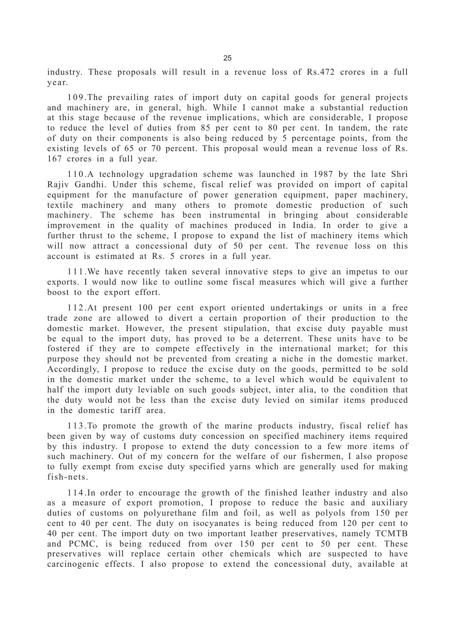industry. These proposals will result in a revenue loss of Rs.472 crores in a full year.

109.The prevailing rates of import duty on capital goods for general projects and machinery are, in general, high. While I cannot make a substantial reduction at this stage because of the revenue implications, which are considerable, I propose to reduce the level of duties from 85 per cent to 80 per cent. In tandem, the rate of duty on their components is also being reduced by 5 percentage points, from the existing levels of 65 or 70 percent. This proposal would mean a revenue loss of Rs. 167 crores in a full year.

110.A technology upgradation scheme was launched in 1987 by the late Shri Rajiv Gandhi. Under this scheme, fiscal relief was provided on import of capital equipment for the manufacture of power generation equipment, paper machinery, textile machinery and many others to promote domestic production of such machinery. The scheme has been instrumental in bringing about considerable improvement in the quality of machines produced in India. In order to give a further thrust to the scheme, I propose to expand the list of machinery items which will now attract a concessional duty of 50 per cent. The revenue loss on this account is estimated at Rs. 5 crores in a full year.

1 1 1 .We have recently taken several innovative steps to give an impetus to our exports. I would now like to outline some fiscal measures which will give a further boost to the export effort.

112.At present 100 per cent export oriented undertakings or units in a free trade zone are allowed to divert a certain proportion of their production to the domestic market. However, the present stipulation, that excise duty payable must be equal to the import duty, has proved to be a deterrent. These units have to be fostered if they are to compete effectively in the international market; for this purpose they should not be prevented from creating a niche in the domestic market. Accordingly, I propose to reduce the excise duty on the goods, permitted to be sold in the domestic market under the scheme, to a level which would be equivalent to half the import duty leviable on such goods subject, inter alia, to the condition that the duty would not be less than the excise duty levied on similar items produced in the domestic tariff area.

1 1 3 .To promote the growth of the marine products industry, fiscal relief has been given by way of customs duty concession on specified machinery items required by this industry. I propose to extend the duty concession to a few more items of such machinery. Out of my concern for the welfare of our fishermen, I also propose to fully exempt from excise duty specified yarns which are generally used for making fish-nets.

114.In order to encourage the growth of the finished leather industry and also as a measure of export promotion, I propose to reduce the basic and auxiliary duties of customs on polyurethane film and foil, as well as polyols from 150 per cent to 40 per cent. The duty on isocyanates is being reduced from 120 per cent to 40 per cent. The import duty on two important leather preservatives, namely TCMTB and PCMC, is being reduced from over 150 per cent to 50 per cent. These preservatives will replace certain other chemicals which are suspected to have carcinogenic effects. I also propose to extend the concessional duty, available at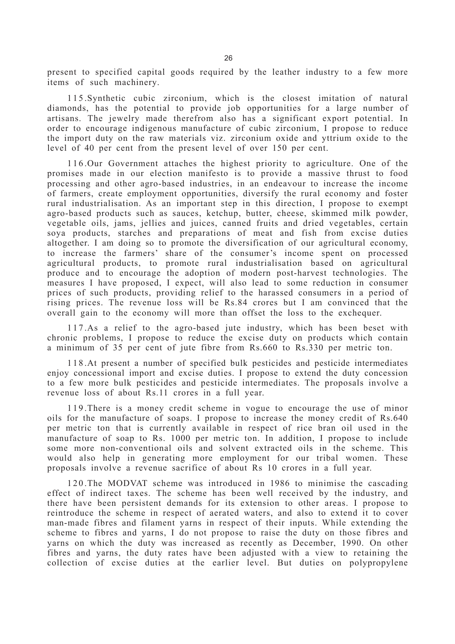present to specified capital goods required by the leather industry to a few more items of such machinery.

115.Synthetic cubic zirconium, which is the closest imitation of natural diamonds, has the potential to provide job opportunities for a large number of artisans. The jewelry made therefrom also has a significant export potential. In order to encourage indigenous manufacture of cubic zirconium, I propose to reduce the import duty on the raw materials viz. zirconium oxide and yttrium oxide to the level of 40 per cent from the present level of over 150 per cent.

116.Our Government attaches the highest priority to agriculture. One of the promises made in our election manifesto is to provide a massive thrust to food processing and other agro-based industries, in an endeavour to increase the income of farmers, create employment opportunities, diversify the rural economy and foster rural industrialisation. As an important step in this direction, I propose to exempt agro-based products such as sauces, ketchup, butter, cheese, skimmed milk powder, vegetable oils, jams, jellies and juices, canned fruits and dried vegetables, certain soya products, starches and preparations of meat and fish from excise duties altogether. I am doing so to promote the diversification of our agricultural economy, to increase the farmers' share of the consumer's income spent on processed agricultural products, to promote rural industrialisation based on agricultural produce and to encourage the adoption of modern post-harvest technologies. The measures I have proposed, I expect, will also lead to some reduction in consumer prices of such products, providing relief to the harassed consumers in a period of rising prices. The revenue loss will be Rs.84 crores but I am convinced that the overall gain to the economy will more than offset the loss to the exchequer.

117.As a relief to the agro-based jute industry, which has been beset with chronic problems, I propose to reduce the excise duty on products which contain a minimum of 35 per cent of jute fibre from Rs.660 to Rs.330 per metric ton.

118.At present a number of specified bulk pesticides and pesticide intermediates enjoy concessional import and excise duties. I propose to extend the duty concession to a few more bulk pesticides and pesticide intermediates. The proposals involve a revenue loss of about Rs.11 crores in a full year.

119.There is a money credit scheme in vogue to encourage the use of minor oils for the manufacture of soaps. I propose to increase the money credit of Rs.640 per metric ton that is currently available in respect of rice bran oil used in the manufacture of soap to Rs. 1000 per metric ton. In addition, I propose to include some more non-conventional oils and solvent extracted oils in the scheme. This would also help in generating more employment for our tribal women. These proposals involve a revenue sacrifice of about Rs 10 crores in a full year.

120.The MODVAT scheme was introduced in 1986 to minimise the cascading effect of indirect taxes. The scheme has been well received by the industry, and there have been persistent demands for its extension to other areas. I propose to reintroduce the scheme in respect of aerated waters, and also to extend it to cover man-made fibres and filament yarns in respect of their inputs. While extending the scheme to fibres and yarns, I do not propose to raise the duty on those fibres and yarns on which the duty was increased as recently as December, 1990. On other fibres and yarns, the duty rates have been adjusted with a view to retaining the collection of excise duties at the earlier level. But duties on polypropylene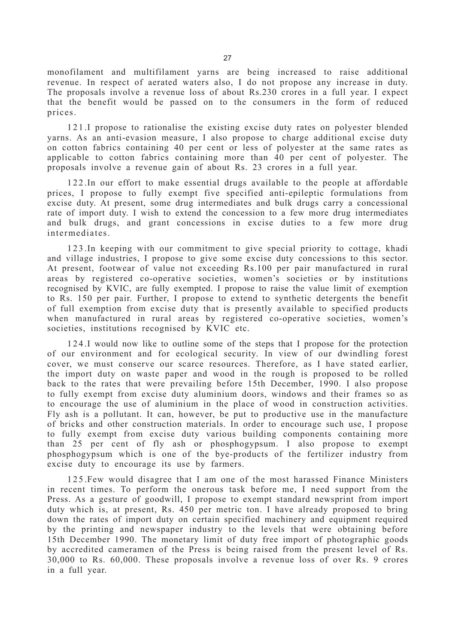monofilament and multifilament yarns are being increased to raise additional revenue. In respect of aerated waters also, I do not propose any increase in duty. The proposals involve a revenue loss of about Rs.230 crores in a full year. I expect that the benefit would be passed on to the consumers in the form of reduced prices.

121.I propose to rationalise the existing excise duty rates on polyester blended yarns. As an anti-evasion measure, I also propose to charge additional excise duty on cotton fabrics containing 40 per cent or less of polyester at the same rates as applicable to cotton fabrics containing more than 40 per cent of polyester. The proposals involve a revenue gain of about Rs. 23 crores in a full year.

122.In our effort to make essential drugs available to the people at affordable prices, I propose to fully exempt five specified anti-epileptic formulations from excise duty. At present, some drug intermediates and bulk drugs carry a concessional rate of import duty. I wish to extend the concession to a few more drug intermediates and bulk drugs, and grant concessions in excise duties to a few more drug intermediates.

123.In keeping with our commitment to give special priority to cottage, khadi and village industries, I propose to give some excise duty concessions to this sector. At present, footwear of value not exceeding Rs.100 per pair manufactured in rural areas by registered co-operative societies, women's societies or by institutions recognised by KVIC, are fully exempted. I propose to raise the value limit of exemption to Rs. 150 per pair. Further, I propose to extend to synthetic detergents the benefit of full exemption from excise duty that is presently available to specified products when manufactured in rural areas by registered co-operative societies, women's societies, institutions recognised by KVIC etc.

124.I would now like to outline some of the steps that I propose for the protection of our environment and for ecological security. In view of our dwindling forest cover, we must conserve our scarce resources. Therefore, as I have stated earlier, the import duty on waste paper and wood in the rough is proposed to be rolled back to the rates that were prevailing before 15th December, 1990. I also propose to fully exempt from excise duty aluminium doors, windows and their frames so as to encourage the use of aluminium in the place of wood in construction activities. Fly ash is a pollutant. It can, however, be put to productive use in the manufacture of bricks and other construction materials. In order to encourage such use, I propose to fully exempt from excise duty various building components containing more than 25 per cent of fly ash or phosphogypsum. I also propose to exempt phosphogypsum which is one of the bye-products of the fertilizer industry from excise duty to encourage its use by farmers.

125.Few would disagree that I am one of the most harassed Finance Ministers in recent times. To perform the onerous task before me, I need support from the Press. As a gesture of goodwill, I propose to exempt standard newsprint from import duty which is, at present, Rs. 450 per metric ton. I have already proposed to bring down the rates of import duty on certain specified machinery and equipment required by the printing and newspaper industry to the levels that were obtaining before 15th December 1990. The monetary limit of duty free import of photographic goods by accredited cameramen of the Press is being raised from the present level of Rs. 30,000 to Rs. 60,000. These proposals involve a revenue loss of over Rs. 9 crores in a full year.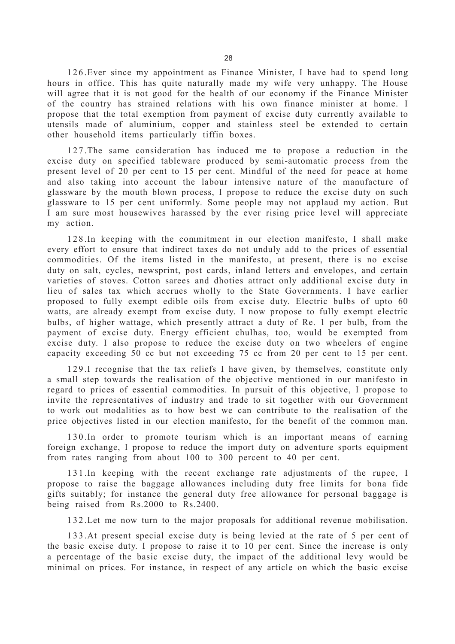126.Ever since my appointment as Finance Minister, I have had to spend long hours in office. This has quite naturally made my wife very unhappy. The House will agree that it is not good for the health of our economy if the Finance Minister of the country has strained relations with his own finance minister at home. I propose that the total exemption from payment of excise duty currently available to utensils made of aluminium, copper and stainless steel be extended to certain other household items particularly tiffin boxes.

127.The same consideration has induced me to propose a reduction in the excise duty on specified tableware produced by semi-automatic process from the present level of 20 per cent to 15 per cent. Mindful of the need for peace at home and also taking into account the labour intensive nature of the manufacture of glassware by the mouth blown process, I propose to reduce the excise duty on such glassware to 15 per cent uniformly. Some people may not applaud my action. But I am sure most housewives harassed by the ever rising price level will appreciate my action.

128.In keeping with the commitment in our election manifesto, I shall make every effort to ensure that indirect taxes do not unduly add to the prices of essential commodities. Of the items listed in the manifesto, at present, there is no excise duty on salt, cycles, newsprint, post cards, inland letters and envelopes, and certain varieties of stoves. Cotton sarees and dhoties attract only additional excise duty in lieu of sales tax which accrues wholly to the State Governments. I have earlier proposed to fully exempt edible oils from excise duty. Electric bulbs of upto 60 watts, are already exempt from excise duty. I now propose to fully exempt electric bulbs, of higher wattage, which presently attract a duty of Re. 1 per bulb, from the payment of excise duty. Energy efficient chulhas, too, would be exempted from excise duty. I also propose to reduce the excise duty on two wheelers of engine capacity exceeding 50 cc but not exceeding 75 cc from 20 per cent to 15 per cent.

129.I recognise that the tax reliefs I have given, by themselves, constitute only a small step towards the realisation of the objective mentioned in our manifesto in regard to prices of essential commodities. In pursuit of this objective, I propose to invite the representatives of industry and trade to sit together with our Government to work out modalities as to how best we can contribute to the realisation of the price objectives listed in our election manifesto, for the benefit of the common man.

130.In order to promote tourism which is an important means of earning foreign exchange, I propose to reduce the import duty on adventure sports equipment from rates ranging from about 100 to 300 percent to 40 per cent.

131.In keeping with the recent exchange rate adjustments of the rupee, I propose to raise the baggage allowances including duty free limits for bona fide gifts suitably; for instance the general duty free allowance for personal baggage is being raised from Rs.2000 to Rs.2400.

132.Let me now turn to the major proposals for additional revenue mobilisation.

133.At present special excise duty is being levied at the rate of 5 per cent of the basic excise duty. I propose to raise it to 10 per cent. Since the increase is only a percentage of the basic excise duty, the impact of the additional levy would be minimal on prices. For instance, in respect of any article on which the basic excise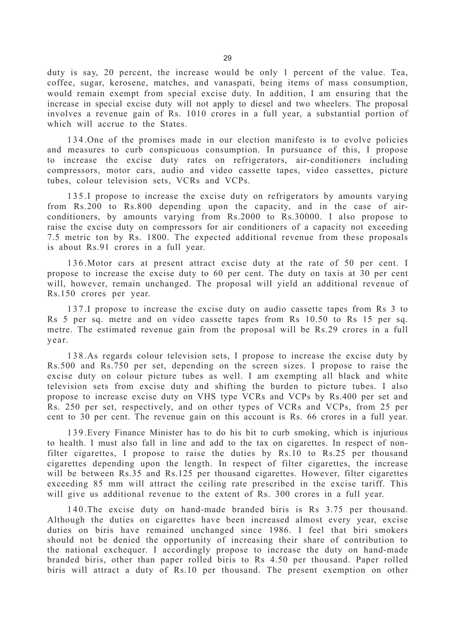duty is say, 20 percent, the increase would be only 1 percent of the value. Tea, coffee, sugar, kerosene, matches, and vanaspati, being items of mass consumption, would remain exempt from special excise duty. In addition, I am ensuring that the increase in special excise duty will not apply to diesel and two wheelers. The proposal involves a revenue gain of Rs. 1010 crores in a full year, a substantial portion of which will accrue to the States.

134.One of the promises made in our election manifesto is to evolve policies and measures to curb conspicuous consumption. In pursuance of this, I propose to increase the excise duty rates on refrigerators, air-conditioners including compressors, motor cars, audio and video cassette tapes, video cassettes, picture tubes, colour television sets, VCRs and VCPs.

135.I propose to increase the excise duty on refrigerators by amounts varying from Rs.200 to Rs.800 depending upon the capacity, and in the case of airconditioners, by amounts varying from Rs.2000 to Rs.30000. I also propose to raise the excise duty on compressors for air conditioners of a capacity not exceeding 7.5 metric ton by Rs. 1800. The expected additional revenue from these proposals is about Rs.91 crores in a full year.

136.Motor cars at present attract excise duty at the rate of 50 per cent. I propose to increase the excise duty to 60 per cent. The duty on taxis at 30 per cent will, however, remain unchanged. The proposal will yield an additional revenue of Rs.150 crores per year.

137.I propose to increase the excise duty on audio cassette tapes from Rs 3 to Rs 5 per sq. metre and on video cassette tapes from Rs 10.50 to Rs 15 per sq. metre. The estimated revenue gain from the proposal will be Rs.29 crores in a full year.

138.As regards colour television sets, I propose to increase the excise duty by Rs.500 and Rs.750 per set, depending on the screen sizes. I propose to raise the excise duty on colour picture tubes as well. I am exempting all black and white television sets from excise duty and shifting the burden to picture tubes. I also propose to increase excise duty on VHS type VCRs and VCPs by Rs.400 per set and Rs. 250 per set, respectively, and on other types of VCRs and VCPs, from 25 per cent to 30 per cent. The revenue gain on this account is Rs. 66 crores in a full year.

139.Every Finance Minister has to do his bit to curb smoking, which is injurious to health. I must also fall in line and add to the tax on cigarettes. In respect of nonfilter cigarettes, I propose to raise the duties by Rs.10 to Rs.25 per thousand cigarettes depending upon the length. In respect of filter cigarettes, the increase will be between Rs.35 and Rs.125 per thousand cigarettes. However, filter cigarettes exceeding 85 mm will attract the ceiling rate prescribed in the excise tariff. This will give us additional revenue to the extent of Rs. 300 crores in a full year.

140.The excise duty on hand-made branded biris is Rs 3.75 per thousand. Although the duties on cigarettes have been increased almost every year, excise duties on biris have remained unchanged since 1986. I feel that biri smokers should not be denied the opportunity of increasing their share of contribution to the national exchequer. I accordingly propose to increase the duty on hand-made branded biris, other than paper rolled biris to Rs 4.50 per thousand. Paper rolled biris will attract a duty of Rs.10 per thousand. The present exemption on other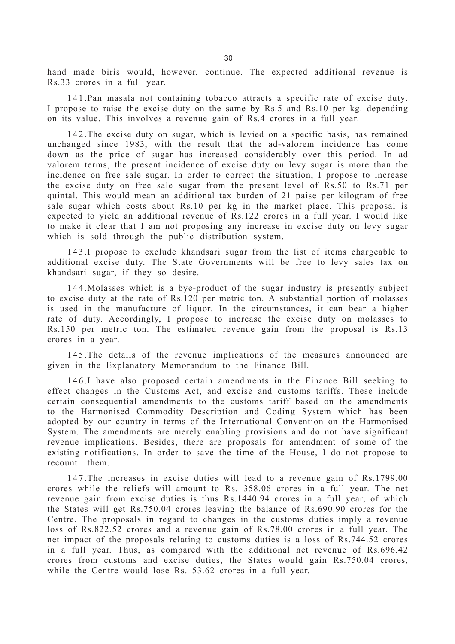hand made biris would, however, continue. The expected additional revenue is Rs.33 crores in a full year.

141.Pan masala not containing tobacco attracts a specific rate of excise duty. I propose to raise the excise duty on the same by Rs.5 and Rs.10 per kg. depending on its value. This involves a revenue gain of Rs.4 crores in a full year.

142.The excise duty on sugar, which is levied on a specific basis, has remained unchanged since 1983, with the result that the ad-valorem incidence has come down as the price of sugar has increased considerably over this period. In ad valorem terms, the present incidence of excise duty on levy sugar is more than the incidence on free sale sugar. In order to correct the situation, I propose to increase the excise duty on free sale sugar from the present level of Rs.50 to Rs.71 per quintal. This would mean an additional tax burden of 21 paise per kilogram of free sale sugar which costs about Rs.10 per kg in the market place. This proposal is expected to yield an additional revenue of Rs.122 crores in a full year. I would like to make it clear that I am not proposing any increase in excise duty on levy sugar which is sold through the public distribution system.

143.I propose to exclude khandsari sugar from the list of items chargeable to additional excise duty. The State Governments will be free to levy sales tax on khandsari sugar, if they so desire.

144.Molasses which is a bye-product of the sugar industry is presently subject to excise duty at the rate of Rs.120 per metric ton. A substantial portion of molasses is used in the manufacture of liquor. In the circumstances, it can bear a higher rate of duty. Accordingly, I propose to increase the excise duty on molasses to Rs.150 per metric ton. The estimated revenue gain from the proposal is Rs.13 crores in a year.

145.The details of the revenue implications of the measures announced are given in the Explanatory Memorandum to the Finance Bill.

146.I have also proposed certain amendments in the Finance Bill seeking to effect changes in the Customs Act, and excise and customs tariffs. These include certain consequential amendments to the customs tariff based on the amendments to the Harmonised Commodity Description and Coding System which has been adopted by our country in terms of the International Convention on the Harmonised System. The amendments are merely enabling provisions and do not have significant revenue implications. Besides, there are proposals for amendment of some of the existing notifications. In order to save the time of the House, I do not propose to recount them.

147.The increases in excise duties will lead to a revenue gain of Rs.1799.00 crores while the reliefs will amount to Rs. 358.06 crores in a full year. The net revenue gain from excise duties is thus Rs.1440.94 crores in a full year, of which the States will get Rs.750.04 crores leaving the balance of Rs.690.90 crores for the Centre. The proposals in regard to changes in the customs duties imply a revenue loss of Rs.822.52 crores and a revenue gain of Rs.78.00 crores in a full year. The net impact of the proposals relating to customs duties is a loss of Rs.744.52 crores in a full year. Thus, as compared with the additional net revenue of Rs.696.42 crores from customs and excise duties, the States would gain Rs.750.04 crores, while the Centre would lose Rs. 53.62 crores in a full year.